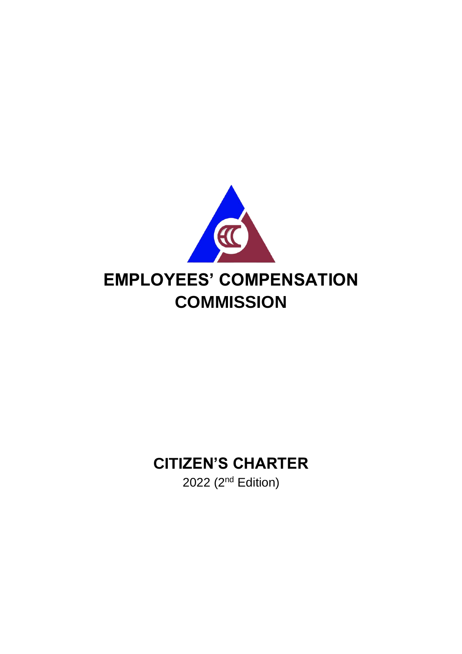

### **CITIZEN'S CHARTER**

2022 (2<sup>nd</sup> Edition)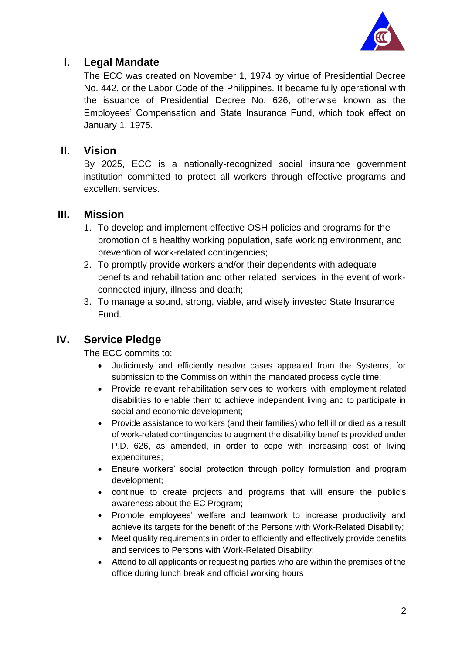

#### **I. Legal Mandate**

The ECC was created on November 1, 1974 by virtue of Presidential Decree No. 442, or the Labor Code of the Philippines. It became fully operational with the issuance of Presidential Decree No. 626, otherwise known as the Employees' Compensation and State Insurance Fund, which took effect on January 1, 1975.

#### **II. Vision**

By 2025, ECC is a nationally-recognized social insurance government institution committed to protect all workers through effective programs and excellent services.

#### **III. Mission**

- 1. To develop and implement effective OSH policies and programs for the promotion of a healthy working population, safe working environment, and prevention of work-related contingencies;
- 2. To promptly provide workers and/or their dependents with adequate benefits and rehabilitation and other related services in the event of workconnected injury, illness and death;
- 3. To manage a sound, strong, viable, and wisely invested State Insurance Fund.

#### **IV. Service Pledge**

The ECC commits to:

- Judiciously and efficiently resolve cases appealed from the Systems, for submission to the Commission within the mandated process cycle time;
- Provide relevant rehabilitation services to workers with employment related disabilities to enable them to achieve independent living and to participate in social and economic development;
- Provide assistance to workers (and their families) who fell ill or died as a result of work-related contingencies to augment the disability benefits provided under P.D. 626, as amended, in order to cope with increasing cost of living expenditures;
- Ensure workers' social protection through policy formulation and program development;
- continue to create projects and programs that will ensure the public's awareness about the EC Program;
- Promote employees' welfare and teamwork to increase productivity and achieve its targets for the benefit of the Persons with Work-Related Disability;
- Meet quality requirements in order to efficiently and effectively provide benefits and services to Persons with Work-Related Disability;
- Attend to all applicants or requesting parties who are within the premises of the office during lunch break and official working hours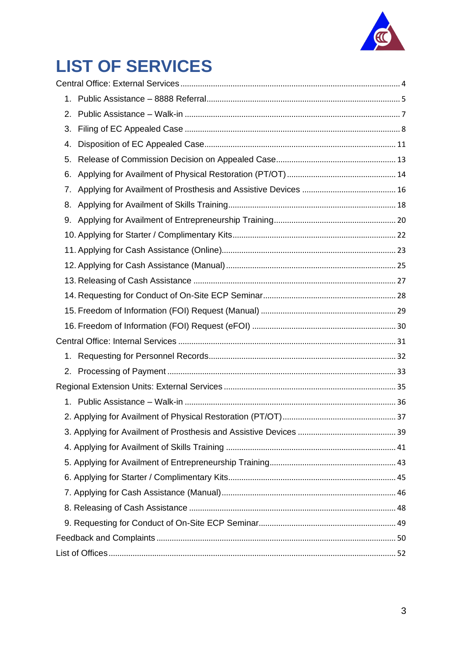

# **LIST OF SERVICES**

| 1. |  |
|----|--|
| 2. |  |
| 3. |  |
| 4. |  |
| 5. |  |
| 6. |  |
| 7. |  |
| 8. |  |
| 9. |  |
|    |  |
|    |  |
|    |  |
|    |  |
|    |  |
|    |  |
|    |  |
|    |  |
| 1. |  |
|    |  |
|    |  |
|    |  |
|    |  |
|    |  |
|    |  |
|    |  |
|    |  |
|    |  |
|    |  |
|    |  |
|    |  |
|    |  |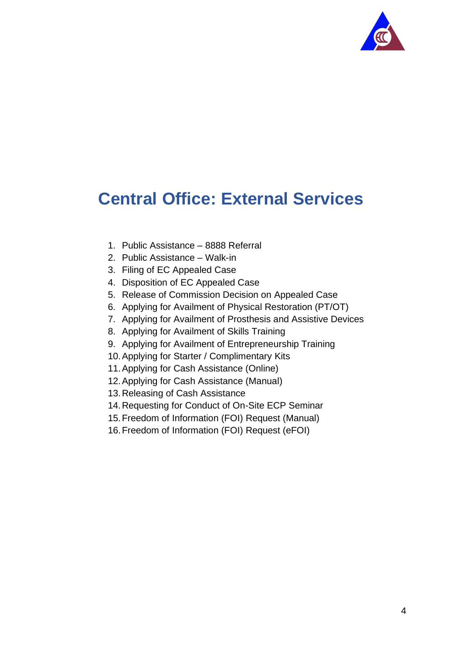

## <span id="page-3-0"></span>**Central Office: External Services**

- 1. Public Assistance 8888 Referral
- 2. Public Assistance Walk-in
- 3. Filing of EC Appealed Case
- 4. Disposition of EC Appealed Case
- 5. Release of Commission Decision on Appealed Case
- 6. Applying for Availment of Physical Restoration (PT/OT)
- 7. Applying for Availment of Prosthesis and Assistive Devices
- 8. Applying for Availment of Skills Training
- 9. Applying for Availment of Entrepreneurship Training
- 10.Applying for Starter / Complimentary Kits
- 11.Applying for Cash Assistance (Online)
- 12.Applying for Cash Assistance (Manual)
- 13.Releasing of Cash Assistance
- 14.Requesting for Conduct of On-Site ECP Seminar
- 15.Freedom of Information (FOI) Request (Manual)
- 16.Freedom of Information (FOI) Request (eFOI)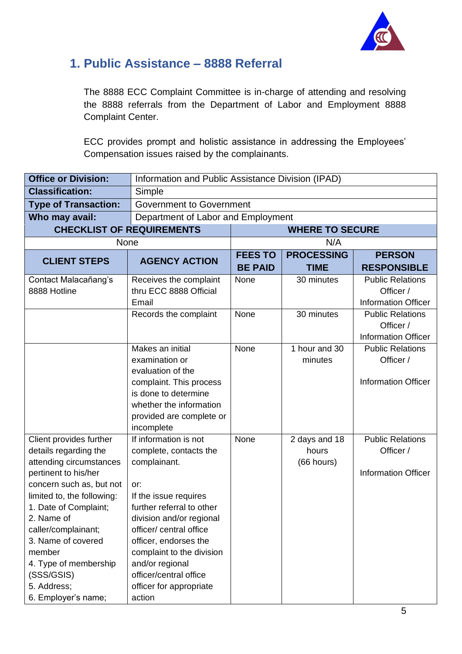

#### <span id="page-4-0"></span>**1. Public Assistance – 8888 Referral**

The 8888 ECC Complaint Committee is in-charge of attending and resolving the 8888 referrals from the Department of Labor and Employment 8888 Complaint Center.

ECC provides prompt and holistic assistance in addressing the Employees' Compensation issues raised by the complainants.

| <b>Office or Division:</b>                                                                                                                                                                                                                                                                                                               |                                                                                                                                                                                                                                                                                                                             | Information and Public Assistance Division (IPAD) |                                      |                                                                    |  |
|------------------------------------------------------------------------------------------------------------------------------------------------------------------------------------------------------------------------------------------------------------------------------------------------------------------------------------------|-----------------------------------------------------------------------------------------------------------------------------------------------------------------------------------------------------------------------------------------------------------------------------------------------------------------------------|---------------------------------------------------|--------------------------------------|--------------------------------------------------------------------|--|
| <b>Classification:</b>                                                                                                                                                                                                                                                                                                                   | Simple                                                                                                                                                                                                                                                                                                                      |                                                   |                                      |                                                                    |  |
| <b>Type of Transaction:</b>                                                                                                                                                                                                                                                                                                              | <b>Government to Government</b>                                                                                                                                                                                                                                                                                             |                                                   |                                      |                                                                    |  |
| Who may avail:                                                                                                                                                                                                                                                                                                                           | Department of Labor and Employment                                                                                                                                                                                                                                                                                          |                                                   |                                      |                                                                    |  |
| <b>CHECKLIST OF REQUIREMENTS</b>                                                                                                                                                                                                                                                                                                         |                                                                                                                                                                                                                                                                                                                             |                                                   | <b>WHERE TO SECURE</b>               |                                                                    |  |
| None                                                                                                                                                                                                                                                                                                                                     |                                                                                                                                                                                                                                                                                                                             |                                                   | N/A                                  |                                                                    |  |
| <b>CLIENT STEPS</b>                                                                                                                                                                                                                                                                                                                      | <b>AGENCY ACTION</b>                                                                                                                                                                                                                                                                                                        | <b>FEES TO</b><br><b>BE PAID</b>                  | <b>PROCESSING</b><br><b>TIME</b>     | <b>PERSON</b><br><b>RESPONSIBLE</b>                                |  |
| Contact Malacañang's<br>8888 Hotline                                                                                                                                                                                                                                                                                                     | Receives the complaint<br>thru ECC 8888 Official<br>Email                                                                                                                                                                                                                                                                   | None                                              | 30 minutes                           | <b>Public Relations</b><br>Officer /<br><b>Information Officer</b> |  |
|                                                                                                                                                                                                                                                                                                                                          | Records the complaint                                                                                                                                                                                                                                                                                                       | None                                              | 30 minutes                           | <b>Public Relations</b><br>Officer /<br><b>Information Officer</b> |  |
|                                                                                                                                                                                                                                                                                                                                          | Makes an initial<br>examination or<br>evaluation of the<br>complaint. This process<br>is done to determine<br>whether the information<br>provided are complete or<br>incomplete                                                                                                                                             | None                                              | 1 hour and 30<br>minutes             | <b>Public Relations</b><br>Officer /<br><b>Information Officer</b> |  |
| Client provides further<br>details regarding the<br>attending circumstances<br>pertinent to his/her<br>concern such as, but not<br>limited to, the following:<br>1. Date of Complaint;<br>2. Name of<br>caller/complainant;<br>3. Name of covered<br>member<br>4. Type of membership<br>(SSS/GSIS)<br>5. Address;<br>6. Employer's name; | If information is not<br>complete, contacts the<br>complainant.<br>or:<br>If the issue requires<br>further referral to other<br>division and/or regional<br>officer/ central office<br>officer, endorses the<br>complaint to the division<br>and/or regional<br>officer/central office<br>officer for appropriate<br>action | None                                              | 2 days and 18<br>hours<br>(66 hours) | <b>Public Relations</b><br>Officer /<br><b>Information Officer</b> |  |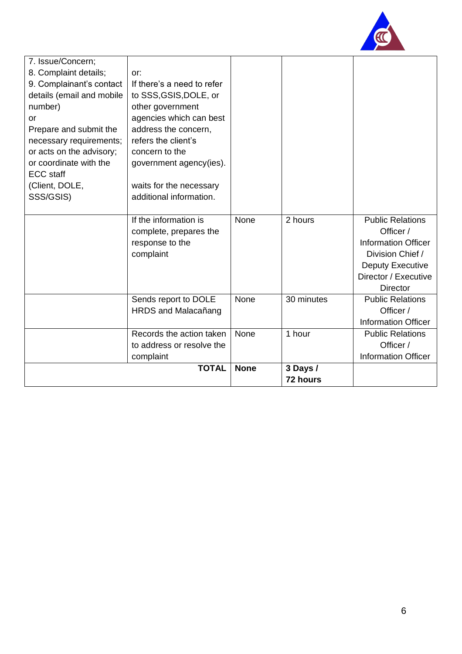

| 7. Issue/Concern;         |                            |             |            |                            |
|---------------------------|----------------------------|-------------|------------|----------------------------|
| 8. Complaint details;     | or:                        |             |            |                            |
| 9. Complainant's contact  | If there's a need to refer |             |            |                            |
| details (email and mobile | to SSS, GSIS, DOLE, or     |             |            |                            |
| number)                   | other government           |             |            |                            |
| <b>or</b>                 | agencies which can best    |             |            |                            |
| Prepare and submit the    | address the concern,       |             |            |                            |
| necessary requirements;   | refers the client's        |             |            |                            |
| or acts on the advisory;  | concern to the             |             |            |                            |
| or coordinate with the    | government agency(ies).    |             |            |                            |
| <b>ECC</b> staff          |                            |             |            |                            |
| (Client, DOLE,            | waits for the necessary    |             |            |                            |
| SSS/GSIS)                 | additional information.    |             |            |                            |
|                           |                            |             |            |                            |
|                           | If the information is      | None        | 2 hours    | <b>Public Relations</b>    |
|                           | complete, prepares the     |             |            | Officer /                  |
|                           | response to the            |             |            | <b>Information Officer</b> |
|                           | complaint                  |             |            | Division Chief /           |
|                           |                            |             |            | <b>Deputy Executive</b>    |
|                           |                            |             |            | Director / Executive       |
|                           |                            |             |            | <b>Director</b>            |
|                           | Sends report to DOLE       | None        | 30 minutes | <b>Public Relations</b>    |
|                           | <b>HRDS and Malacañang</b> |             |            | Officer /                  |
|                           |                            |             |            | <b>Information Officer</b> |
|                           | Records the action taken   | None        | 1 hour     | <b>Public Relations</b>    |
|                           | to address or resolve the  |             |            | Officer /                  |
|                           | complaint                  |             |            | <b>Information Officer</b> |
|                           | <b>TOTAL</b>               | <b>None</b> | 3 Days /   |                            |
|                           |                            |             | 72 hours   |                            |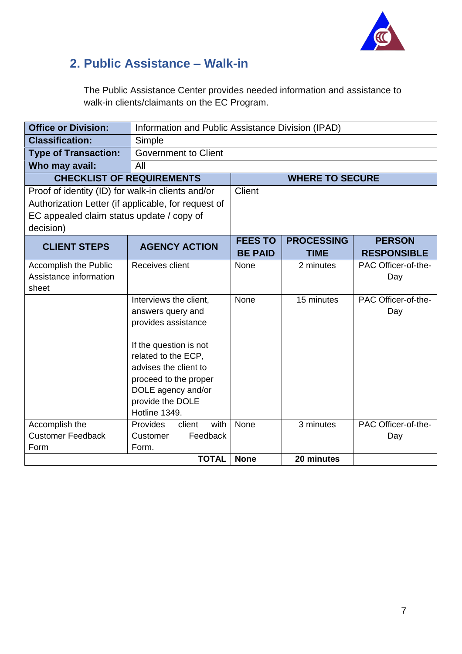

### <span id="page-6-0"></span>**2. Public Assistance – Walk-in**

The Public Assistance Center provides needed information and assistance to walk-in clients/claimants on the EC Program.

| <b>Office or Division:</b>                               | Information and Public Assistance Division (IPAD)                                                                                                                                                                                |                                  |                                  |                                     |
|----------------------------------------------------------|----------------------------------------------------------------------------------------------------------------------------------------------------------------------------------------------------------------------------------|----------------------------------|----------------------------------|-------------------------------------|
| <b>Classification:</b>                                   | Simple                                                                                                                                                                                                                           |                                  |                                  |                                     |
| <b>Type of Transaction:</b>                              | <b>Government to Client</b>                                                                                                                                                                                                      |                                  |                                  |                                     |
| Who may avail:                                           | All                                                                                                                                                                                                                              |                                  |                                  |                                     |
| <b>CHECKLIST OF REQUIREMENTS</b>                         |                                                                                                                                                                                                                                  |                                  | <b>WHERE TO SECURE</b>           |                                     |
| Proof of identity (ID) for walk-in clients and/or        |                                                                                                                                                                                                                                  | <b>Client</b>                    |                                  |                                     |
| Authorization Letter (if applicable, for request of      |                                                                                                                                                                                                                                  |                                  |                                  |                                     |
| EC appealed claim status update / copy of                |                                                                                                                                                                                                                                  |                                  |                                  |                                     |
| decision)                                                |                                                                                                                                                                                                                                  |                                  |                                  |                                     |
| <b>CLIENT STEPS</b>                                      | <b>AGENCY ACTION</b>                                                                                                                                                                                                             | <b>FEES TO</b><br><b>BE PAID</b> | <b>PROCESSING</b><br><b>TIME</b> | <b>PERSON</b><br><b>RESPONSIBLE</b> |
| Accomplish the Public<br>Assistance information<br>sheet | Receives client                                                                                                                                                                                                                  | None                             | 2 minutes                        | PAC Officer-of-the-<br>Day          |
|                                                          | Interviews the client,<br>answers query and<br>provides assistance<br>If the question is not<br>related to the ECP,<br>advises the client to<br>proceed to the proper<br>DOLE agency and/or<br>provide the DOLE<br>Hotline 1349. | None                             | 15 minutes                       | PAC Officer-of-the-<br>Day          |
| Accomplish the<br><b>Customer Feedback</b>               | with<br>Provides<br>client<br>Feedback<br>Customer                                                                                                                                                                               | None                             | 3 minutes                        | PAC Officer-of-the-<br>Day          |
| Form                                                     | Form.                                                                                                                                                                                                                            |                                  |                                  |                                     |
|                                                          | <b>TOTAL</b>                                                                                                                                                                                                                     | <b>None</b>                      | 20 minutes                       |                                     |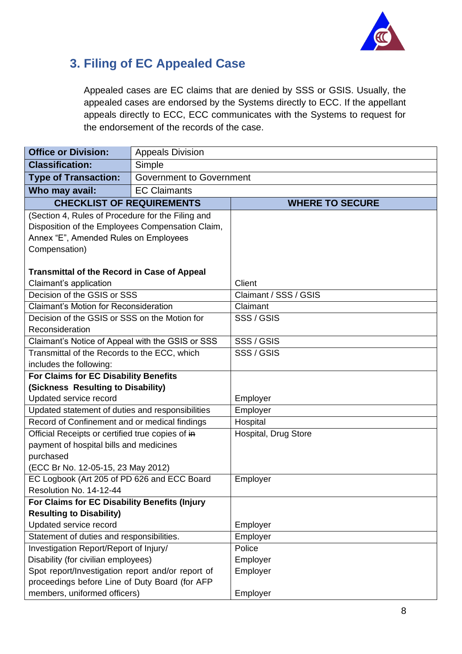

#### <span id="page-7-0"></span>**3. Filing of EC Appealed Case**

Appealed cases are EC claims that are denied by SSS or GSIS. Usually, the appealed cases are endorsed by the Systems directly to ECC. If the appellant appeals directly to ECC, ECC communicates with the Systems to request for the endorsement of the records of the case.

| <b>Office or Division:</b>                                                  | <b>Appeals Division</b>         |                        |
|-----------------------------------------------------------------------------|---------------------------------|------------------------|
| <b>Classification:</b>                                                      | Simple                          |                        |
| <b>Type of Transaction:</b>                                                 | <b>Government to Government</b> |                        |
| Who may avail:                                                              | <b>EC Claimants</b>             |                        |
| <b>CHECKLIST OF REQUIREMENTS</b>                                            |                                 | <b>WHERE TO SECURE</b> |
| (Section 4, Rules of Procedure for the Filing and                           |                                 |                        |
| Disposition of the Employees Compensation Claim,                            |                                 |                        |
| Annex "E", Amended Rules on Employees                                       |                                 |                        |
| Compensation)                                                               |                                 |                        |
|                                                                             |                                 |                        |
| <b>Transmittal of the Record in Case of Appeal</b>                          |                                 |                        |
| Claimant's application                                                      |                                 | <b>Client</b>          |
| Decision of the GSIS or SSS                                                 |                                 | Claimant / SSS / GSIS  |
| <b>Claimant's Motion for Reconsideration</b>                                |                                 | Claimant               |
| Decision of the GSIS or SSS on the Motion for                               |                                 | SSS / GSIS             |
| Reconsideration                                                             |                                 |                        |
| Claimant's Notice of Appeal with the GSIS or SSS                            |                                 | SSS / GSIS             |
| Transmittal of the Records to the ECC, which                                |                                 | SSS / GSIS             |
| includes the following:                                                     |                                 |                        |
| For Claims for EC Disability Benefits<br>(Sickness Resulting to Disability) |                                 |                        |
| Updated service record                                                      |                                 | Employer               |
| Updated statement of duties and responsibilities                            |                                 | Employer               |
| Record of Confinement and or medical findings                               |                                 | Hospital               |
| Official Receipts or certified true copies of in                            |                                 | Hospital, Drug Store   |
| payment of hospital bills and medicines                                     |                                 |                        |
| purchased                                                                   |                                 |                        |
| (ECC Br No. 12-05-15, 23 May 2012)                                          |                                 |                        |
| EC Logbook (Art 205 of PD 626 and ECC Board                                 |                                 | Employer               |
| Resolution No. 14-12-44                                                     |                                 |                        |
| For Claims for EC Disability Benefits (Injury                               |                                 |                        |
| <b>Resulting to Disability)</b>                                             |                                 |                        |
| Updated service record                                                      |                                 | Employer               |
| Statement of duties and responsibilities.                                   |                                 | Employer               |
| Investigation Report/Report of Injury/                                      |                                 | Police                 |
| Disability (for civilian employees)                                         |                                 | Employer               |
| Spot report/Investigation report and/or report of                           |                                 | Employer               |
| proceedings before Line of Duty Board (for AFP                              |                                 |                        |
| members, uniformed officers)                                                |                                 | Employer               |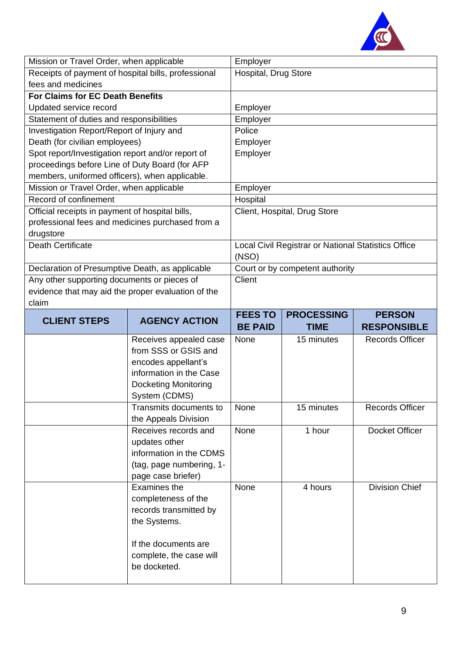

| Mission or Travel Order, when applicable            |                             | Employer             |                                                     |                        |
|-----------------------------------------------------|-----------------------------|----------------------|-----------------------------------------------------|------------------------|
| Receipts of payment of hospital bills, professional |                             | Hospital, Drug Store |                                                     |                        |
| fees and medicines                                  |                             |                      |                                                     |                        |
| <b>For Claims for EC Death Benefits</b>             |                             |                      |                                                     |                        |
| Updated service record                              |                             | Employer             |                                                     |                        |
| Statement of duties and responsibilities            |                             | Employer             |                                                     |                        |
| Investigation Report/Report of Injury and           |                             | Police               |                                                     |                        |
| Death (for civilian employees)                      |                             | Employer             |                                                     |                        |
| Spot report/Investigation report and/or report of   |                             | Employer             |                                                     |                        |
| proceedings before Line of Duty Board (for AFP      |                             |                      |                                                     |                        |
| members, uniformed officers), when applicable.      |                             |                      |                                                     |                        |
| Mission or Travel Order, when applicable            |                             | Employer             |                                                     |                        |
| Record of confinement                               |                             | Hospital             |                                                     |                        |
| Official receipts in payment of hospital bills,     |                             |                      | Client, Hospital, Drug Store                        |                        |
| professional fees and medicines purchased from a    |                             |                      |                                                     |                        |
| drugstore                                           |                             |                      |                                                     |                        |
| <b>Death Certificate</b>                            |                             |                      | Local Civil Registrar or National Statistics Office |                        |
|                                                     |                             | (NSO)                |                                                     |                        |
| Declaration of Presumptive Death, as applicable     |                             |                      | Court or by competent authority                     |                        |
| Any other supporting documents or pieces of         |                             | Client               |                                                     |                        |
| evidence that may aid the proper evaluation of the  |                             |                      |                                                     |                        |
| claim                                               |                             |                      |                                                     |                        |
|                                                     |                             | <b>FEES TO</b>       | <b>PROCESSING</b>                                   | <b>PERSON</b>          |
|                                                     |                             |                      |                                                     |                        |
| <b>CLIENT STEPS</b>                                 | <b>AGENCY ACTION</b>        | <b>BE PAID</b>       | <b>TIME</b>                                         | <b>RESPONSIBLE</b>     |
|                                                     | Receives appealed case      | None                 | 15 minutes                                          | <b>Records Officer</b> |
|                                                     | from SSS or GSIS and        |                      |                                                     |                        |
|                                                     | encodes appellant's         |                      |                                                     |                        |
|                                                     | information in the Case     |                      |                                                     |                        |
|                                                     | <b>Docketing Monitoring</b> |                      |                                                     |                        |
|                                                     | System (CDMS)               |                      |                                                     |                        |
|                                                     | Transmits documents to      | None                 | 15 minutes                                          | <b>Records Officer</b> |
|                                                     | the Appeals Division        |                      |                                                     |                        |
|                                                     | Receives records and        | None                 | 1 hour                                              | Docket Officer         |
|                                                     | updates other               |                      |                                                     |                        |
|                                                     | information in the CDMS     |                      |                                                     |                        |
|                                                     | (tag, page numbering, 1-    |                      |                                                     |                        |
|                                                     | page case briefer)          |                      |                                                     |                        |
|                                                     | Examines the                | None                 | 4 hours                                             | <b>Division Chief</b>  |
|                                                     | completeness of the         |                      |                                                     |                        |
|                                                     | records transmitted by      |                      |                                                     |                        |
|                                                     | the Systems.                |                      |                                                     |                        |
|                                                     |                             |                      |                                                     |                        |
|                                                     | If the documents are        |                      |                                                     |                        |
|                                                     | complete, the case will     |                      |                                                     |                        |
|                                                     | be docketed.                |                      |                                                     |                        |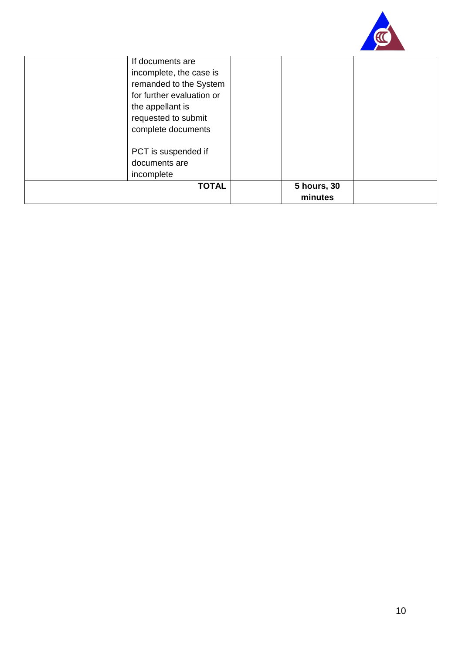

| If documents are<br>incomplete, the case is<br>remanded to the System |                        |
|-----------------------------------------------------------------------|------------------------|
| for further evaluation or                                             |                        |
| the appellant is<br>requested to submit                               |                        |
| complete documents                                                    |                        |
| PCT is suspended if                                                   |                        |
| documents are                                                         |                        |
| incomplete                                                            |                        |
| <b>TOTAL</b>                                                          | 5 hours, 30<br>minutes |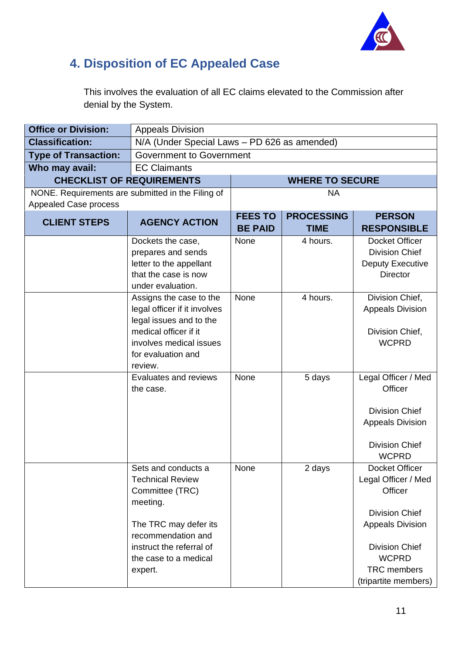

### <span id="page-10-0"></span>**4. Disposition of EC Appealed Case**

This involves the evaluation of all EC claims elevated to the Commission after denial by the System.

| <b>Office or Division:</b>  | <b>Appeals Division</b>                                                                                                                                                                      |                                  |                                  |                                                                                                                                                                                             |
|-----------------------------|----------------------------------------------------------------------------------------------------------------------------------------------------------------------------------------------|----------------------------------|----------------------------------|---------------------------------------------------------------------------------------------------------------------------------------------------------------------------------------------|
| <b>Classification:</b>      | N/A (Under Special Laws - PD 626 as amended)                                                                                                                                                 |                                  |                                  |                                                                                                                                                                                             |
| <b>Type of Transaction:</b> | <b>Government to Government</b>                                                                                                                                                              |                                  |                                  |                                                                                                                                                                                             |
| Who may avail:              | <b>EC Claimants</b>                                                                                                                                                                          |                                  |                                  |                                                                                                                                                                                             |
|                             | <b>CHECKLIST OF REQUIREMENTS</b>                                                                                                                                                             |                                  | <b>WHERE TO SECURE</b>           |                                                                                                                                                                                             |
| Appealed Case process       | NONE. Requirements are submitted in the Filing of                                                                                                                                            | <b>NA</b>                        |                                  |                                                                                                                                                                                             |
| <b>CLIENT STEPS</b>         | <b>AGENCY ACTION</b>                                                                                                                                                                         | <b>FEES TO</b><br><b>BE PAID</b> | <b>PROCESSING</b><br><b>TIME</b> | <b>PERSON</b><br><b>RESPONSIBLE</b>                                                                                                                                                         |
|                             | Dockets the case,<br>prepares and sends<br>letter to the appellant<br>that the case is now<br>under evaluation.                                                                              | None                             | 4 hours.                         | Docket Officer<br><b>Division Chief</b><br><b>Deputy Executive</b><br><b>Director</b>                                                                                                       |
|                             | Assigns the case to the<br>legal officer if it involves<br>legal issues and to the<br>medical officer if it<br>involves medical issues<br>for evaluation and<br>review.                      | None                             | 4 hours.                         | Division Chief,<br><b>Appeals Division</b><br>Division Chief,<br><b>WCPRD</b>                                                                                                               |
|                             | Evaluates and reviews<br>the case.                                                                                                                                                           | None                             | 5 days                           | Legal Officer / Med<br>Officer<br><b>Division Chief</b><br><b>Appeals Division</b><br><b>Division Chief</b><br><b>WCPRD</b>                                                                 |
|                             | Sets and conducts a<br><b>Technical Review</b><br>Committee (TRC)<br>meeting.<br>The TRC may defer its<br>recommendation and<br>instruct the referral of<br>the case to a medical<br>expert. | None                             | 2 days                           | Docket Officer<br>Legal Officer / Med<br>Officer<br><b>Division Chief</b><br><b>Appeals Division</b><br><b>Division Chief</b><br><b>WCPRD</b><br><b>TRC</b> members<br>(tripartite members) |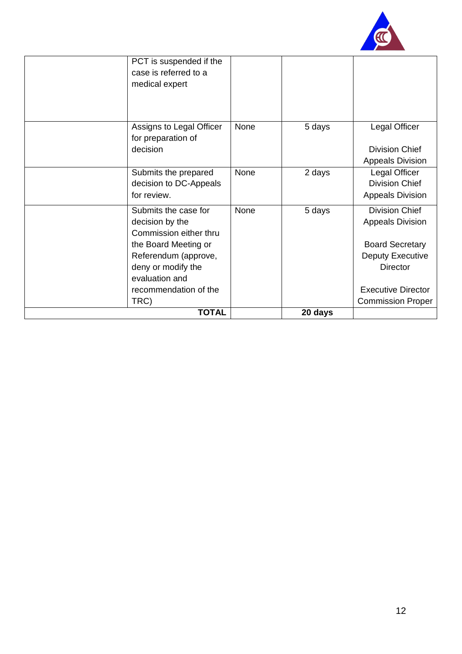

| PCT is suspended if the<br>case is referred to a<br>medical expert |      |         |                                                       |
|--------------------------------------------------------------------|------|---------|-------------------------------------------------------|
|                                                                    |      |         |                                                       |
| Assigns to Legal Officer                                           | None | 5 days  | Legal Officer                                         |
| for preparation of<br>decision                                     |      |         | <b>Division Chief</b><br><b>Appeals Division</b>      |
| Submits the prepared                                               | None | 2 days  | Legal Officer                                         |
| decision to DC-Appeals<br>for review.                              |      |         | <b>Division Chief</b><br><b>Appeals Division</b>      |
| Submits the case for                                               | None | 5 days  | <b>Division Chief</b>                                 |
| decision by the<br>Commission either thru                          |      |         | <b>Appeals Division</b>                               |
| the Board Meeting or                                               |      |         | <b>Board Secretary</b>                                |
| Referendum (approve,                                               |      |         | Deputy Executive                                      |
| deny or modify the                                                 |      |         | <b>Director</b>                                       |
| evaluation and                                                     |      |         |                                                       |
| recommendation of the<br>TRC)                                      |      |         | <b>Executive Director</b><br><b>Commission Proper</b> |
| <b>TOTAL</b>                                                       |      | 20 days |                                                       |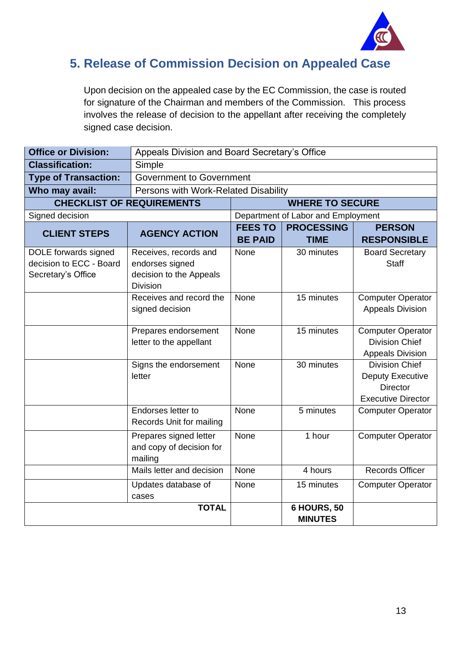

#### <span id="page-12-0"></span>**5. Release of Commission Decision on Appealed Case**

Upon decision on the appealed case by the EC Commission, the case is routed for signature of the Chairman and members of the Commission. This process involves the release of decision to the appellant after receiving the completely signed case decision.

| <b>Office or Division:</b>                                            |                                                                                        | Appeals Division and Board Secretary's Office |                                      |                                                                                                  |
|-----------------------------------------------------------------------|----------------------------------------------------------------------------------------|-----------------------------------------------|--------------------------------------|--------------------------------------------------------------------------------------------------|
| <b>Classification:</b>                                                | Simple                                                                                 |                                               |                                      |                                                                                                  |
| <b>Type of Transaction:</b>                                           | <b>Government to Government</b>                                                        |                                               |                                      |                                                                                                  |
| Who may avail:                                                        | Persons with Work-Related Disability                                                   |                                               |                                      |                                                                                                  |
|                                                                       | <b>CHECKLIST OF REQUIREMENTS</b>                                                       | <b>WHERE TO SECURE</b>                        |                                      |                                                                                                  |
| Signed decision                                                       |                                                                                        |                                               | Department of Labor and Employment   |                                                                                                  |
| <b>CLIENT STEPS</b>                                                   | <b>AGENCY ACTION</b>                                                                   | <b>FEES TO</b><br><b>BE PAID</b>              | <b>PROCESSING</b><br><b>TIME</b>     | <b>PERSON</b><br><b>RESPONSIBLE</b>                                                              |
| DOLE forwards signed<br>decision to ECC - Board<br>Secretary's Office | Receives, records and<br>endorses signed<br>decision to the Appeals<br><b>Division</b> | None                                          | 30 minutes                           | <b>Board Secretary</b><br><b>Staff</b>                                                           |
|                                                                       | Receives and record the<br>signed decision                                             | <b>None</b>                                   | 15 minutes                           | <b>Computer Operator</b><br><b>Appeals Division</b>                                              |
|                                                                       | Prepares endorsement<br>letter to the appellant                                        | None                                          | 15 minutes                           | <b>Computer Operator</b><br><b>Division Chief</b><br><b>Appeals Division</b>                     |
|                                                                       | Signs the endorsement<br>letter                                                        | None                                          | 30 minutes                           | <b>Division Chief</b><br><b>Deputy Executive</b><br><b>Director</b><br><b>Executive Director</b> |
|                                                                       | Endorses letter to<br>Records Unit for mailing                                         | None                                          | 5 minutes                            | <b>Computer Operator</b>                                                                         |
|                                                                       | Prepares signed letter<br>and copy of decision for<br>mailing                          | None                                          | 1 hour                               | <b>Computer Operator</b>                                                                         |
|                                                                       | Mails letter and decision                                                              | None                                          | 4 hours                              | <b>Records Officer</b>                                                                           |
|                                                                       | Updates database of<br>cases                                                           | None                                          | 15 minutes                           | <b>Computer Operator</b>                                                                         |
|                                                                       | <b>TOTAL</b>                                                                           |                                               | <b>6 HOURS, 50</b><br><b>MINUTES</b> |                                                                                                  |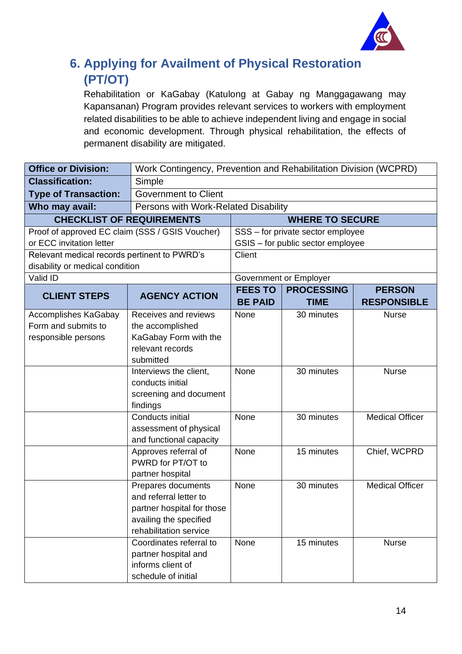

### <span id="page-13-0"></span>**6. Applying for Availment of Physical Restoration (PT/OT)**

Rehabilitation or KaGabay (Katulong at Gabay ng Manggagawang may Kapansanan) Program provides relevant services to workers with employment related disabilities to be able to achieve independent living and engage in social and economic development. Through physical rehabilitation, the effects of permanent disability are mitigated.

| <b>Office or Division:</b>                      | Work Contingency, Prevention and Rehabilitation Division (WCPRD) |                                  |                                   |                                     |
|-------------------------------------------------|------------------------------------------------------------------|----------------------------------|-----------------------------------|-------------------------------------|
| <b>Classification:</b>                          | Simple                                                           |                                  |                                   |                                     |
| <b>Type of Transaction:</b>                     | <b>Government to Client</b>                                      |                                  |                                   |                                     |
| Who may avail:                                  | Persons with Work-Related Disability                             |                                  |                                   |                                     |
| <b>CHECKLIST OF REQUIREMENTS</b>                |                                                                  |                                  | <b>WHERE TO SECURE</b>            |                                     |
| Proof of approved EC claim (SSS / GSIS Voucher) |                                                                  |                                  | SSS - for private sector employee |                                     |
| or ECC invitation letter                        |                                                                  |                                  | GSIS - for public sector employee |                                     |
| Relevant medical records pertinent to PWRD's    |                                                                  | Client                           |                                   |                                     |
| disability or medical condition                 |                                                                  |                                  |                                   |                                     |
| Valid ID                                        |                                                                  |                                  | Government or Employer            |                                     |
| <b>CLIENT STEPS</b>                             | <b>AGENCY ACTION</b>                                             | <b>FEES TO</b><br><b>BE PAID</b> | <b>PROCESSING</b><br><b>TIME</b>  | <b>PERSON</b><br><b>RESPONSIBLE</b> |
| <b>Accomplishes KaGabay</b>                     | Receives and reviews                                             | None                             | 30 minutes                        | <b>Nurse</b>                        |
| Form and submits to                             | the accomplished                                                 |                                  |                                   |                                     |
| responsible persons                             | KaGabay Form with the                                            |                                  |                                   |                                     |
|                                                 | relevant records                                                 |                                  |                                   |                                     |
|                                                 | submitted                                                        | None                             | 30 minutes                        | <b>Nurse</b>                        |
|                                                 | Interviews the client,<br>conducts initial                       |                                  |                                   |                                     |
|                                                 | screening and document                                           |                                  |                                   |                                     |
|                                                 | findings                                                         |                                  |                                   |                                     |
|                                                 | Conducts initial                                                 | None                             | 30 minutes                        | <b>Medical Officer</b>              |
|                                                 | assessment of physical                                           |                                  |                                   |                                     |
|                                                 | and functional capacity                                          |                                  |                                   |                                     |
|                                                 | Approves referral of                                             | None                             | 15 minutes                        | Chief, WCPRD                        |
|                                                 | PWRD for PT/OT to                                                |                                  |                                   |                                     |
|                                                 | partner hospital                                                 |                                  |                                   |                                     |
|                                                 | Prepares documents                                               | None                             | 30 minutes                        | <b>Medical Officer</b>              |
|                                                 | and referral letter to                                           |                                  |                                   |                                     |
|                                                 | partner hospital for those<br>availing the specified             |                                  |                                   |                                     |
|                                                 | rehabilitation service                                           |                                  |                                   |                                     |
|                                                 | Coordinates referral to                                          | None                             | 15 minutes                        | <b>Nurse</b>                        |
|                                                 | partner hospital and                                             |                                  |                                   |                                     |
|                                                 | informs client of                                                |                                  |                                   |                                     |
|                                                 | schedule of initial                                              |                                  |                                   |                                     |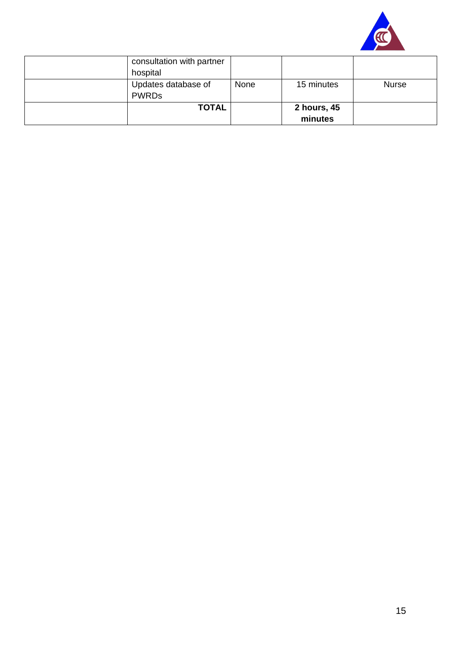

| consultation with partner |      |             |       |
|---------------------------|------|-------------|-------|
| hospital                  |      |             |       |
| Updates database of       | None | 15 minutes  | Nurse |
| <b>PWRDs</b>              |      |             |       |
| <b>TOTAL</b>              |      | 2 hours, 45 |       |
|                           |      | minutes     |       |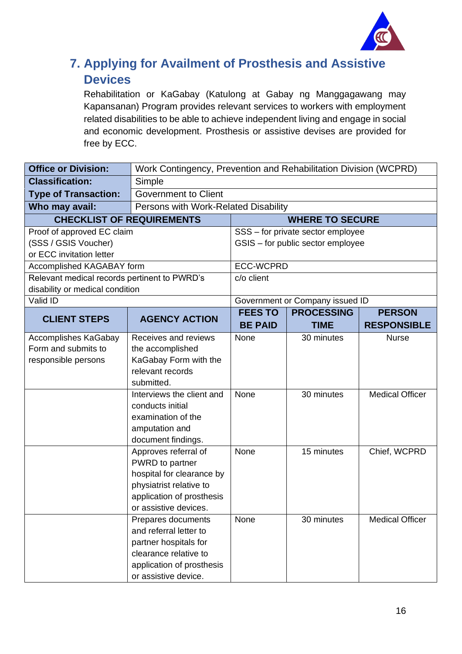

### <span id="page-15-0"></span>**7. Applying for Availment of Prosthesis and Assistive Devices**

Rehabilitation or KaGabay (Katulong at Gabay ng Manggagawang may Kapansanan) Program provides relevant services to workers with employment related disabilities to be able to achieve independent living and engage in social and economic development. Prosthesis or assistive devises are provided for free by ECC.

| <b>Office or Division:</b>                   |                                           | Work Contingency, Prevention and Rehabilitation Division (WCPRD) |                                   |                        |  |
|----------------------------------------------|-------------------------------------------|------------------------------------------------------------------|-----------------------------------|------------------------|--|
| <b>Classification:</b>                       | Simple                                    |                                                                  |                                   |                        |  |
| <b>Type of Transaction:</b>                  | <b>Government to Client</b>               |                                                                  |                                   |                        |  |
| Who may avail:                               | Persons with Work-Related Disability      |                                                                  |                                   |                        |  |
|                                              | <b>CHECKLIST OF REQUIREMENTS</b>          |                                                                  | <b>WHERE TO SECURE</b>            |                        |  |
| Proof of approved EC claim                   |                                           |                                                                  | SSS - for private sector employee |                        |  |
| (SSS / GSIS Voucher)                         |                                           |                                                                  | GSIS - for public sector employee |                        |  |
| or ECC invitation letter                     |                                           |                                                                  |                                   |                        |  |
| Accomplished KAGABAY form                    |                                           | <b>ECC-WCPRD</b>                                                 |                                   |                        |  |
| Relevant medical records pertinent to PWRD's |                                           | c/o client                                                       |                                   |                        |  |
| disability or medical condition              |                                           |                                                                  |                                   |                        |  |
| Valid ID                                     |                                           |                                                                  | Government or Company issued ID   |                        |  |
| <b>CLIENT STEPS</b>                          | <b>AGENCY ACTION</b>                      | <b>FEES TO</b>                                                   | <b>PROCESSING</b>                 | <b>PERSON</b>          |  |
|                                              |                                           | <b>BE PAID</b>                                                   | <b>TIME</b>                       | <b>RESPONSIBLE</b>     |  |
| <b>Accomplishes KaGabay</b>                  | Receives and reviews                      | None                                                             | 30 minutes                        | <b>Nurse</b>           |  |
| Form and submits to                          | the accomplished                          |                                                                  |                                   |                        |  |
| responsible persons                          | KaGabay Form with the<br>relevant records |                                                                  |                                   |                        |  |
|                                              | submitted.                                |                                                                  |                                   |                        |  |
|                                              | Interviews the client and                 | None                                                             | 30 minutes                        | <b>Medical Officer</b> |  |
|                                              | conducts initial                          |                                                                  |                                   |                        |  |
|                                              | examination of the                        |                                                                  |                                   |                        |  |
|                                              | amputation and                            |                                                                  |                                   |                        |  |
|                                              | document findings.                        |                                                                  |                                   |                        |  |
|                                              | Approves referral of                      | None                                                             | 15 minutes                        | Chief, WCPRD           |  |
|                                              | PWRD to partner                           |                                                                  |                                   |                        |  |
|                                              | hospital for clearance by                 |                                                                  |                                   |                        |  |
|                                              | physiatrist relative to                   |                                                                  |                                   |                        |  |
|                                              | application of prosthesis                 |                                                                  |                                   |                        |  |
|                                              | or assistive devices                      |                                                                  |                                   |                        |  |
|                                              | Prepares documents                        | None                                                             | 30 minutes                        | <b>Medical Officer</b> |  |
|                                              | and referral letter to                    |                                                                  |                                   |                        |  |
|                                              | partner hospitals for                     |                                                                  |                                   |                        |  |
|                                              | clearance relative to                     |                                                                  |                                   |                        |  |
|                                              | application of prosthesis                 |                                                                  |                                   |                        |  |
|                                              | or assistive device.                      |                                                                  |                                   |                        |  |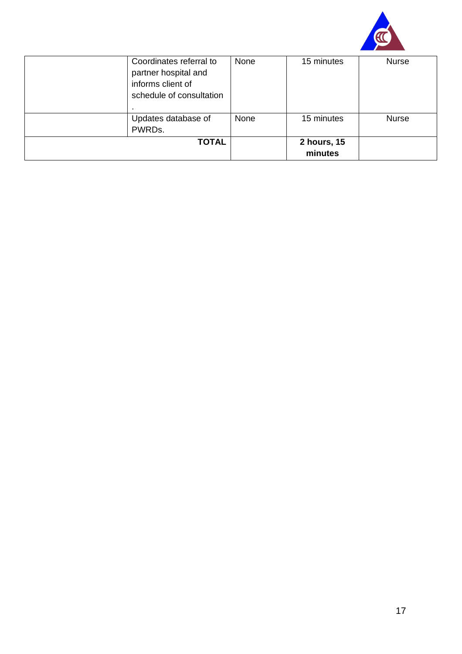

| Coordinates referral to<br>partner hospital and<br>informs client of<br>schedule of consultation | None | 15 minutes             | <b>Nurse</b> |
|--------------------------------------------------------------------------------------------------|------|------------------------|--------------|
| Updates database of<br>PWRDs.                                                                    | None | 15 minutes             | <b>Nurse</b> |
| <b>TOTAL</b>                                                                                     |      | 2 hours, 15<br>minutes |              |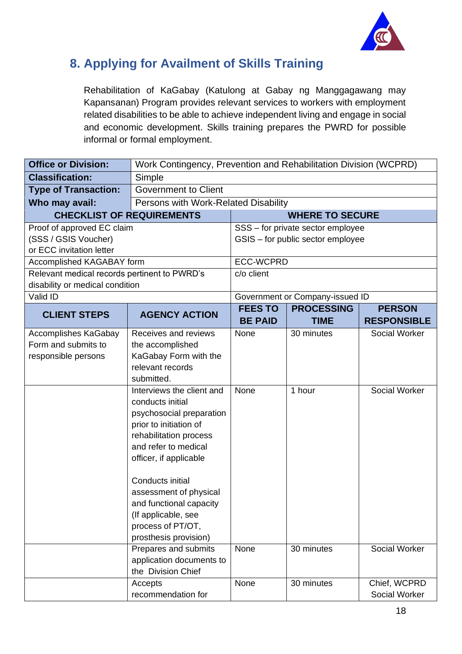

#### <span id="page-17-0"></span>**8. Applying for Availment of Skills Training**

Rehabilitation of KaGabay (Katulong at Gabay ng Manggagawang may Kapansanan) Program provides relevant services to workers with employment related disabilities to be able to achieve independent living and engage in social and economic development. Skills training prepares the PWRD for possible informal or formal employment.

| <b>Office or Division:</b>                   | Work Contingency, Prevention and Rehabilitation Division (WCPRD) |                  |                                   |                    |
|----------------------------------------------|------------------------------------------------------------------|------------------|-----------------------------------|--------------------|
| <b>Classification:</b>                       | Simple                                                           |                  |                                   |                    |
| <b>Type of Transaction:</b>                  | <b>Government to Client</b>                                      |                  |                                   |                    |
| Who may avail:                               | Persons with Work-Related Disability                             |                  |                                   |                    |
|                                              | <b>CHECKLIST OF REQUIREMENTS</b>                                 |                  | <b>WHERE TO SECURE</b>            |                    |
| Proof of approved EC claim                   |                                                                  |                  | SSS - for private sector employee |                    |
| (SSS / GSIS Voucher)                         |                                                                  |                  | GSIS - for public sector employee |                    |
| or ECC invitation letter                     |                                                                  |                  |                                   |                    |
| Accomplished KAGABAY form                    |                                                                  | <b>ECC-WCPRD</b> |                                   |                    |
| Relevant medical records pertinent to PWRD's |                                                                  | c/o client       |                                   |                    |
| disability or medical condition              |                                                                  |                  |                                   |                    |
| Valid ID                                     |                                                                  |                  | Government or Company-issued ID   |                    |
| <b>CLIENT STEPS</b>                          | <b>AGENCY ACTION</b>                                             | <b>FEES TO</b>   | <b>PROCESSING</b>                 | <b>PERSON</b>      |
|                                              |                                                                  | <b>BE PAID</b>   | <b>TIME</b>                       | <b>RESPONSIBLE</b> |
| Accomplishes KaGabay                         | Receives and reviews                                             | None             | 30 minutes                        | Social Worker      |
| Form and submits to                          | the accomplished                                                 |                  |                                   |                    |
| responsible persons                          | KaGabay Form with the                                            |                  |                                   |                    |
|                                              | relevant records                                                 |                  |                                   |                    |
|                                              | submitted.                                                       |                  |                                   |                    |
|                                              | Interviews the client and<br>conducts initial                    | None             | 1 hour                            | Social Worker      |
|                                              | psychosocial preparation                                         |                  |                                   |                    |
|                                              | prior to initiation of                                           |                  |                                   |                    |
|                                              | rehabilitation process                                           |                  |                                   |                    |
|                                              | and refer to medical                                             |                  |                                   |                    |
|                                              | officer, if applicable                                           |                  |                                   |                    |
|                                              |                                                                  |                  |                                   |                    |
|                                              | Conducts initial                                                 |                  |                                   |                    |
|                                              | assessment of physical                                           |                  |                                   |                    |
|                                              | and functional capacity                                          |                  |                                   |                    |
|                                              | (If applicable, see                                              |                  |                                   |                    |
|                                              | process of PT/OT,                                                |                  |                                   |                    |
|                                              | prosthesis provision)                                            |                  |                                   |                    |
|                                              | Prepares and submits                                             | None             | 30 minutes                        | Social Worker      |
|                                              | application documents to                                         |                  |                                   |                    |
|                                              | the Division Chief                                               |                  |                                   |                    |
|                                              | Accepts                                                          | None             | 30 minutes                        | Chief, WCPRD       |
|                                              | recommendation for                                               |                  |                                   | Social Worker      |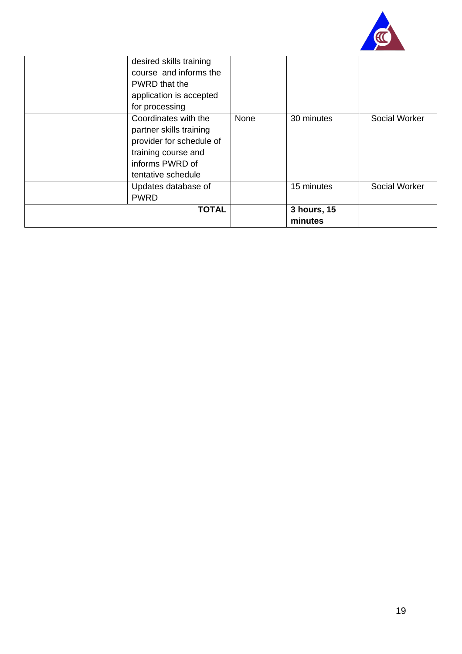

| desired skills training<br>course and informs the<br>PWRD that the<br>application is accepted<br>for processing                             |      |                        |               |
|---------------------------------------------------------------------------------------------------------------------------------------------|------|------------------------|---------------|
| Coordinates with the<br>partner skills training<br>provider for schedule of<br>training course and<br>informs PWRD of<br>tentative schedule | None | 30 minutes             | Social Worker |
| Updates database of<br><b>PWRD</b>                                                                                                          |      | 15 minutes             | Social Worker |
| <b>TOTAL</b>                                                                                                                                |      | 3 hours, 15<br>minutes |               |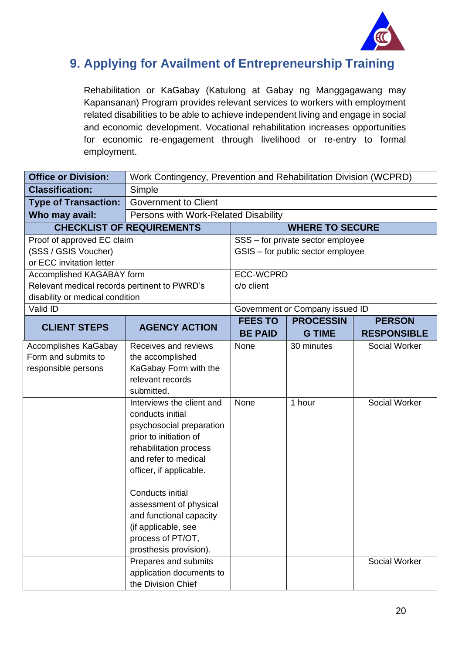

#### <span id="page-19-0"></span>**9. Applying for Availment of Entrepreneurship Training**

Rehabilitation or KaGabay (Katulong at Gabay ng Manggagawang may Kapansanan) Program provides relevant services to workers with employment related disabilities to be able to achieve independent living and engage in social and economic development. Vocational rehabilitation increases opportunities for economic re-engagement through livelihood or re-entry to formal employment.

| <b>Office or Division:</b>                         | Work Contingency, Prevention and Rehabilitation Division (WCPRD) |                                  |                                   |                                     |  |
|----------------------------------------------------|------------------------------------------------------------------|----------------------------------|-----------------------------------|-------------------------------------|--|
| <b>Classification:</b>                             | Simple                                                           |                                  |                                   |                                     |  |
| <b>Type of Transaction:</b>                        | <b>Government to Client</b>                                      |                                  |                                   |                                     |  |
| Who may avail:                                     | Persons with Work-Related Disability                             |                                  |                                   |                                     |  |
|                                                    | <b>CHECKLIST OF REQUIREMENTS</b><br><b>WHERE TO SECURE</b>       |                                  |                                   |                                     |  |
| Proof of approved EC claim                         |                                                                  |                                  | SSS - for private sector employee |                                     |  |
| (SSS / GSIS Voucher)                               |                                                                  |                                  | GSIS - for public sector employee |                                     |  |
| or ECC invitation letter                           |                                                                  |                                  |                                   |                                     |  |
| Accomplished KAGABAY form                          |                                                                  | <b>ECC-WCPRD</b>                 |                                   |                                     |  |
| Relevant medical records pertinent to PWRD's       |                                                                  | c/o client                       |                                   |                                     |  |
| disability or medical condition                    |                                                                  |                                  |                                   |                                     |  |
| Valid ID                                           |                                                                  |                                  | Government or Company issued ID   |                                     |  |
| <b>CLIENT STEPS</b>                                | <b>AGENCY ACTION</b>                                             | <b>FEES TO</b><br><b>BE PAID</b> | <b>PROCESSIN</b><br><b>G TIME</b> | <b>PERSON</b><br><b>RESPONSIBLE</b> |  |
|                                                    |                                                                  |                                  |                                   |                                     |  |
| <b>Accomplishes KaGabay</b><br>Form and submits to | Receives and reviews<br>the accomplished                         | None                             | 30 minutes                        | Social Worker                       |  |
| responsible persons                                | KaGabay Form with the                                            |                                  |                                   |                                     |  |
|                                                    | relevant records                                                 |                                  |                                   |                                     |  |
|                                                    | submitted.                                                       |                                  |                                   |                                     |  |
|                                                    | Interviews the client and                                        | None                             | 1 hour                            | <b>Social Worker</b>                |  |
|                                                    | conducts initial                                                 |                                  |                                   |                                     |  |
|                                                    | psychosocial preparation                                         |                                  |                                   |                                     |  |
|                                                    | prior to initiation of                                           |                                  |                                   |                                     |  |
|                                                    | rehabilitation process                                           |                                  |                                   |                                     |  |
|                                                    | and refer to medical                                             |                                  |                                   |                                     |  |
|                                                    | officer, if applicable.                                          |                                  |                                   |                                     |  |
|                                                    |                                                                  |                                  |                                   |                                     |  |
|                                                    | Conducts initial                                                 |                                  |                                   |                                     |  |
|                                                    | assessment of physical                                           |                                  |                                   |                                     |  |
|                                                    | and functional capacity<br>(if applicable, see                   |                                  |                                   |                                     |  |
|                                                    | process of PT/OT,                                                |                                  |                                   |                                     |  |
|                                                    | prosthesis provision).                                           |                                  |                                   |                                     |  |
|                                                    | Prepares and submits                                             |                                  |                                   | Social Worker                       |  |
|                                                    | application documents to                                         |                                  |                                   |                                     |  |
|                                                    | the Division Chief                                               |                                  |                                   |                                     |  |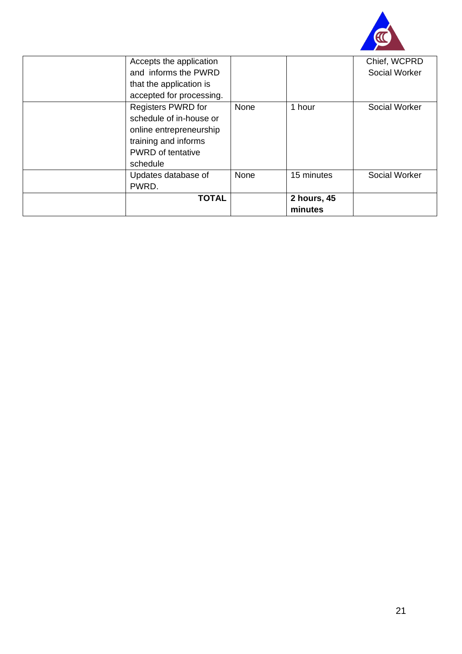

| Accepts the application<br>and informs the PWRD<br>that the application is<br>accepted for processing.                                   |      |                        | Chief, WCPRD<br>Social Worker |
|------------------------------------------------------------------------------------------------------------------------------------------|------|------------------------|-------------------------------|
| Registers PWRD for<br>schedule of in-house or<br>online entrepreneurship<br>training and informs<br><b>PWRD</b> of tentative<br>schedule | None | 1 hour                 | Social Worker                 |
| Updates database of<br>PWRD.                                                                                                             | None | 15 minutes             | Social Worker                 |
| <b>TOTAL</b>                                                                                                                             |      | 2 hours, 45<br>minutes |                               |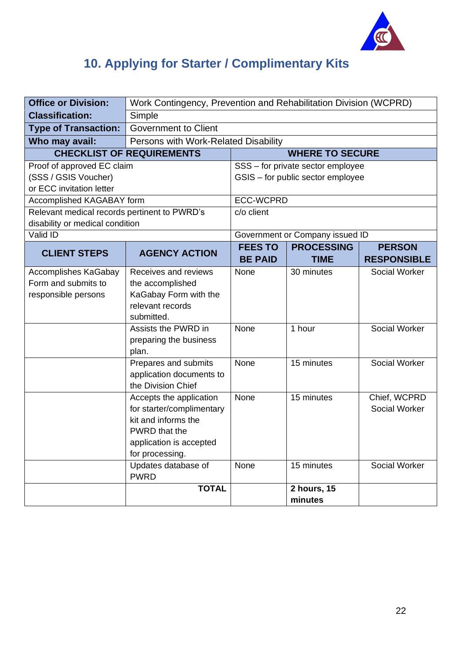

## <span id="page-21-0"></span>**10. Applying for Starter / Complimentary Kits**

| <b>Office or Division:</b>                   | Work Contingency, Prevention and Rehabilitation Division (WCPRD) |                  |                                   |                      |
|----------------------------------------------|------------------------------------------------------------------|------------------|-----------------------------------|----------------------|
| <b>Classification:</b>                       | Simple                                                           |                  |                                   |                      |
| <b>Type of Transaction:</b>                  | <b>Government to Client</b>                                      |                  |                                   |                      |
| Who may avail:                               | Persons with Work-Related Disability                             |                  |                                   |                      |
|                                              | <b>CHECKLIST OF REQUIREMENTS</b><br><b>WHERE TO SECURE</b>       |                  |                                   |                      |
| Proof of approved EC claim                   |                                                                  |                  | SSS - for private sector employee |                      |
| (SSS / GSIS Voucher)                         |                                                                  |                  | GSIS - for public sector employee |                      |
| or ECC invitation letter                     |                                                                  |                  |                                   |                      |
| Accomplished KAGABAY form                    |                                                                  | <b>ECC-WCPRD</b> |                                   |                      |
| Relevant medical records pertinent to PWRD's |                                                                  | c/o client       |                                   |                      |
| disability or medical condition<br>Valid ID  |                                                                  |                  | Government or Company issued ID   |                      |
|                                              |                                                                  | <b>FEES TO</b>   | <b>PROCESSING</b>                 | <b>PERSON</b>        |
| <b>CLIENT STEPS</b>                          | <b>AGENCY ACTION</b>                                             | <b>BE PAID</b>   | <b>TIME</b>                       | <b>RESPONSIBLE</b>   |
| <b>Accomplishes KaGabay</b>                  | Receives and reviews                                             | None             | 30 minutes                        | <b>Social Worker</b> |
| Form and submits to                          | the accomplished                                                 |                  |                                   |                      |
| responsible persons                          | KaGabay Form with the                                            |                  |                                   |                      |
|                                              | relevant records                                                 |                  |                                   |                      |
|                                              | submitted.                                                       |                  |                                   |                      |
|                                              | Assists the PWRD in                                              | None             | 1 hour                            | Social Worker        |
|                                              | preparing the business                                           |                  |                                   |                      |
|                                              | plan.                                                            |                  |                                   |                      |
|                                              | Prepares and submits                                             | None             | 15 minutes                        | Social Worker        |
|                                              | application documents to<br>the Division Chief                   |                  |                                   |                      |
|                                              | Accepts the application                                          | None             | 15 minutes                        | Chief, WCPRD         |
|                                              | for starter/complimentary                                        |                  |                                   | Social Worker        |
|                                              | kit and informs the                                              |                  |                                   |                      |
|                                              | PWRD that the                                                    |                  |                                   |                      |
|                                              | application is accepted                                          |                  |                                   |                      |
|                                              | for processing.                                                  |                  |                                   |                      |
|                                              | Updates database of                                              | None             | 15 minutes                        | Social Worker        |
|                                              | <b>PWRD</b>                                                      |                  |                                   |                      |
|                                              | <b>TOTAL</b>                                                     |                  | 2 hours, 15                       |                      |
|                                              |                                                                  |                  | minutes                           |                      |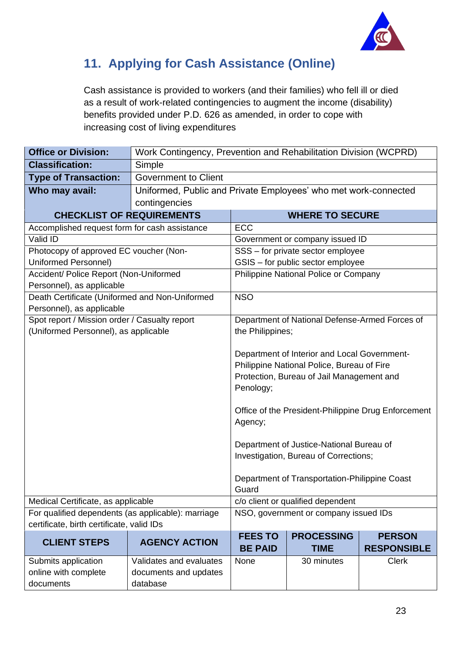

### <span id="page-22-0"></span>**11. Applying for Cash Assistance (Online)**

Cash assistance is provided to workers (and their families) who fell ill or died as a result of work-related contingencies to augment the income (disability) benefits provided under P.D. 626 as amended, in order to cope with increasing cost of living expenditures

| <b>Classification:</b><br>Simple                                                                    |                                            |  |  |
|-----------------------------------------------------------------------------------------------------|--------------------------------------------|--|--|
| <b>Government to Client</b><br><b>Type of Transaction:</b>                                          |                                            |  |  |
| Uniformed, Public and Private Employees' who met work-connected<br>Who may avail:                   |                                            |  |  |
| contingencies                                                                                       |                                            |  |  |
| <b>CHECKLIST OF REQUIREMENTS</b><br><b>WHERE TO SECURE</b>                                          |                                            |  |  |
| Accomplished request form for cash assistance<br>ECC                                                |                                            |  |  |
| Valid ID<br>Government or company issued ID                                                         |                                            |  |  |
| Photocopy of approved EC voucher (Non-<br>SSS - for private sector employee                         |                                            |  |  |
| Uniformed Personnel)<br>GSIS - for public sector employee                                           |                                            |  |  |
| Accident/ Police Report (Non-Uniformed<br>Philippine National Police or Company                     |                                            |  |  |
| Personnel), as applicable                                                                           |                                            |  |  |
| Death Certificate (Uniformed and Non-Uniformed<br><b>NSO</b>                                        |                                            |  |  |
| Personnel), as applicable                                                                           |                                            |  |  |
| Spot report / Mission order / Casualty report<br>Department of National Defense-Armed Forces of     |                                            |  |  |
| (Uniformed Personnel), as applicable<br>the Philippines;                                            |                                            |  |  |
|                                                                                                     |                                            |  |  |
| Department of Interior and Local Government-                                                        | Philippine National Police, Bureau of Fire |  |  |
|                                                                                                     | Protection, Bureau of Jail Management and  |  |  |
|                                                                                                     | Penology;                                  |  |  |
|                                                                                                     |                                            |  |  |
| Office of the President-Philippine Drug Enforcement                                                 |                                            |  |  |
| Agency;                                                                                             |                                            |  |  |
|                                                                                                     |                                            |  |  |
| Department of Justice-National Bureau of                                                            |                                            |  |  |
| Investigation, Bureau of Corrections;                                                               |                                            |  |  |
|                                                                                                     |                                            |  |  |
| Department of Transportation-Philippine Coast                                                       |                                            |  |  |
| Guard                                                                                               |                                            |  |  |
| Medical Certificate, as applicable                                                                  | c/o client or qualified dependent          |  |  |
| For qualified dependents (as applicable): marriage<br>NSO, government or company issued IDs         |                                            |  |  |
| certificate, birth certificate, valid IDs                                                           |                                            |  |  |
| <b>FEES TO</b><br><b>PROCESSING</b><br><b>PERSON</b><br><b>CLIENT STEPS</b><br><b>AGENCY ACTION</b> |                                            |  |  |
| <b>BE PAID</b><br><b>RESPONSIBLE</b><br><b>TIME</b>                                                 |                                            |  |  |
| <b>Clerk</b><br>Submits application<br>Validates and evaluates<br>None<br>30 minutes                |                                            |  |  |
| online with complete<br>documents and updates<br>documents<br>database                              |                                            |  |  |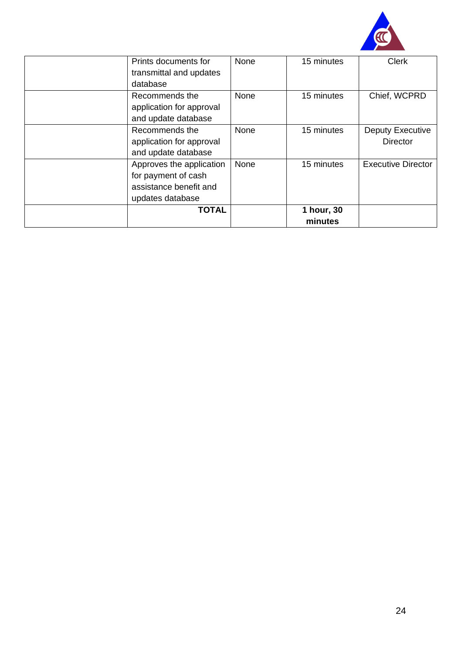

| Prints documents for<br>transmittal and updates | None | 15 minutes | <b>Clerk</b>              |
|-------------------------------------------------|------|------------|---------------------------|
| database                                        |      |            |                           |
| Recommends the                                  | None | 15 minutes | Chief, WCPRD              |
| application for approval                        |      |            |                           |
| and update database                             |      |            |                           |
| Recommends the                                  | None | 15 minutes | Deputy Executive          |
| application for approval                        |      |            | <b>Director</b>           |
| and update database                             |      |            |                           |
| Approves the application                        | None | 15 minutes | <b>Executive Director</b> |
| for payment of cash                             |      |            |                           |
| assistance benefit and                          |      |            |                           |
| updates database                                |      |            |                           |
| <b>TOTAL</b>                                    |      | 1 hour, 30 |                           |
|                                                 |      | minutes    |                           |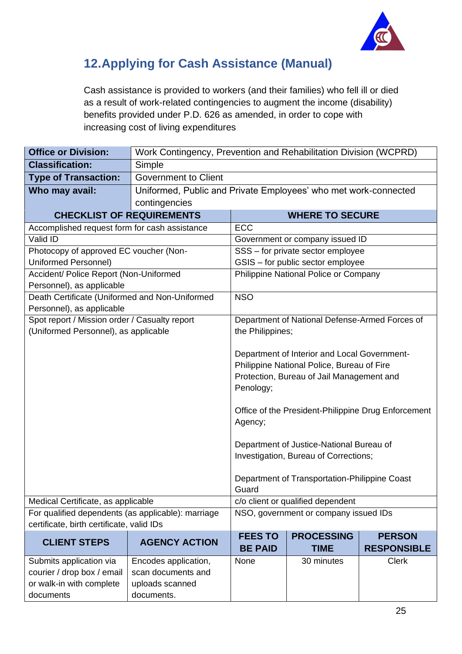

#### <span id="page-24-0"></span>**12.Applying for Cash Assistance (Manual)**

Cash assistance is provided to workers (and their families) who fell ill or died as a result of work-related contingencies to augment the income (disability) benefits provided under P.D. 626 as amended, in order to cope with increasing cost of living expenditures

| <b>Office or Division:</b>                         | Work Contingency, Prevention and Rehabilitation Division (WCPRD) |                                                        |                                                |                    |
|----------------------------------------------------|------------------------------------------------------------------|--------------------------------------------------------|------------------------------------------------|--------------------|
| <b>Classification:</b>                             | Simple                                                           |                                                        |                                                |                    |
| <b>Type of Transaction:</b>                        | <b>Government to Client</b>                                      |                                                        |                                                |                    |
| Who may avail:                                     | Uniformed, Public and Private Employees' who met work-connected  |                                                        |                                                |                    |
|                                                    | contingencies                                                    |                                                        |                                                |                    |
| <b>CHECKLIST OF REQUIREMENTS</b>                   |                                                                  |                                                        | <b>WHERE TO SECURE</b>                         |                    |
| Accomplished request form for cash assistance      |                                                                  | <b>ECC</b>                                             |                                                |                    |
| Valid ID                                           |                                                                  |                                                        | Government or company issued ID                |                    |
| Photocopy of approved EC voucher (Non-             |                                                                  |                                                        | SSS - for private sector employee              |                    |
| Uniformed Personnel)                               |                                                                  |                                                        | GSIS - for public sector employee              |                    |
| Accident/ Police Report (Non-Uniformed             |                                                                  |                                                        | Philippine National Police or Company          |                    |
| Personnel), as applicable                          |                                                                  |                                                        |                                                |                    |
| Death Certificate (Uniformed and Non-Uniformed     |                                                                  | <b>NSO</b>                                             |                                                |                    |
| Personnel), as applicable                          |                                                                  |                                                        |                                                |                    |
| Spot report / Mission order / Casualty report      |                                                                  |                                                        | Department of National Defense-Armed Forces of |                    |
| (Uniformed Personnel), as applicable               |                                                                  | the Philippines;                                       |                                                |                    |
|                                                    |                                                                  |                                                        |                                                |                    |
|                                                    |                                                                  | Department of Interior and Local Government-           |                                                |                    |
|                                                    |                                                                  | Philippine National Police, Bureau of Fire             |                                                |                    |
|                                                    |                                                                  | Protection, Bureau of Jail Management and<br>Penology; |                                                |                    |
|                                                    |                                                                  |                                                        |                                                |                    |
|                                                    |                                                                  | Office of the President-Philippine Drug Enforcement    |                                                |                    |
|                                                    |                                                                  | Agency;                                                |                                                |                    |
|                                                    |                                                                  |                                                        |                                                |                    |
|                                                    |                                                                  |                                                        | Department of Justice-National Bureau of       |                    |
|                                                    |                                                                  | Investigation, Bureau of Corrections;                  |                                                |                    |
|                                                    |                                                                  |                                                        |                                                |                    |
|                                                    |                                                                  | Department of Transportation-Philippine Coast          |                                                |                    |
|                                                    |                                                                  | Guard                                                  |                                                |                    |
| Medical Certificate, as applicable                 |                                                                  |                                                        | c/o client or qualified dependent              |                    |
| For qualified dependents (as applicable): marriage |                                                                  |                                                        | NSO, government or company issued IDs          |                    |
| certificate, birth certificate, valid IDs          |                                                                  |                                                        |                                                |                    |
| <b>CLIENT STEPS</b>                                | <b>AGENCY ACTION</b>                                             | <b>FEES TO</b>                                         | <b>PROCESSING</b>                              | <b>PERSON</b>      |
|                                                    |                                                                  | <b>BE PAID</b>                                         | <b>TIME</b>                                    | <b>RESPONSIBLE</b> |
| Submits application via                            | Encodes application,                                             | None                                                   | 30 minutes                                     | <b>Clerk</b>       |
| courier / drop box / email                         | scan documents and                                               |                                                        |                                                |                    |
| or walk-in with complete                           | uploads scanned                                                  |                                                        |                                                |                    |
| documents                                          | documents.                                                       |                                                        |                                                |                    |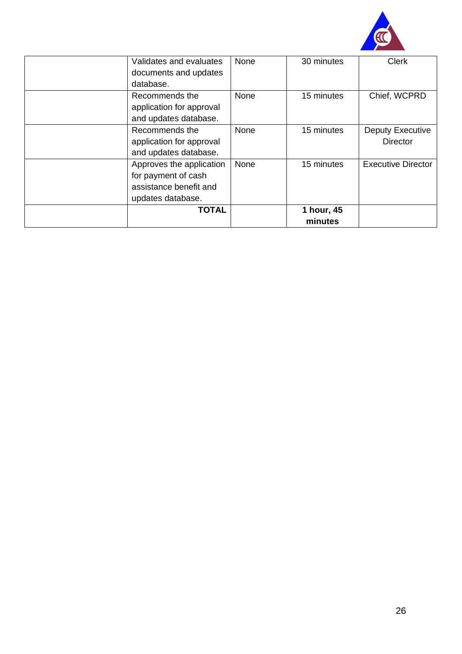

| Validates and evaluates  | None | 30 minutes            | <b>Clerk</b>              |
|--------------------------|------|-----------------------|---------------------------|
| documents and updates    |      |                       |                           |
| database.                |      |                       |                           |
| Recommends the           | None | 15 minutes            | Chief, WCPRD              |
| application for approval |      |                       |                           |
| and updates database.    |      |                       |                           |
| Recommends the           | None | 15 minutes            | Deputy Executive          |
| application for approval |      |                       | <b>Director</b>           |
| and updates database.    |      |                       |                           |
| Approves the application | None | 15 minutes            | <b>Executive Director</b> |
| for payment of cash      |      |                       |                           |
| assistance benefit and   |      |                       |                           |
| updates database.        |      |                       |                           |
| <b>TOTAL</b>             |      | 1 hour, 45<br>minutes |                           |
|                          |      |                       |                           |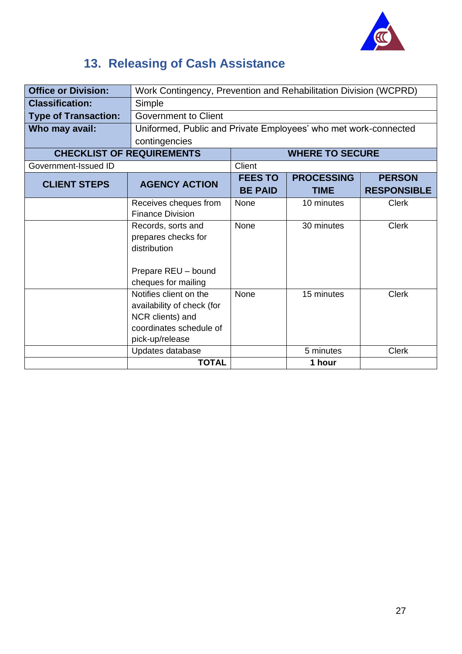

## <span id="page-26-0"></span>**13. Releasing of Cash Assistance**

| <b>Office or Division:</b>  | Work Contingency, Prevention and Rehabilitation Division (WCPRD)                                                       |                                  |                                  |                                     |  |
|-----------------------------|------------------------------------------------------------------------------------------------------------------------|----------------------------------|----------------------------------|-------------------------------------|--|
| <b>Classification:</b>      | Simple                                                                                                                 |                                  |                                  |                                     |  |
| <b>Type of Transaction:</b> | <b>Government to Client</b>                                                                                            |                                  |                                  |                                     |  |
| Who may avail:              | Uniformed, Public and Private Employees' who met work-connected                                                        |                                  |                                  |                                     |  |
|                             | contingencies                                                                                                          |                                  |                                  |                                     |  |
|                             | <b>CHECKLIST OF REQUIREMENTS</b>                                                                                       |                                  | <b>WHERE TO SECURE</b>           |                                     |  |
| Government-Issued ID        |                                                                                                                        | Client                           |                                  |                                     |  |
| <b>CLIENT STEPS</b>         | <b>AGENCY ACTION</b>                                                                                                   | <b>FEES TO</b><br><b>BE PAID</b> | <b>PROCESSING</b><br><b>TIME</b> | <b>PERSON</b><br><b>RESPONSIBLE</b> |  |
|                             | Receives cheques from<br><b>Finance Division</b>                                                                       | <b>None</b>                      | 10 minutes                       | <b>Clerk</b>                        |  |
|                             | Records, sorts and<br>prepares checks for<br>distribution                                                              | None                             | 30 minutes                       | <b>Clerk</b>                        |  |
|                             | Prepare REU - bound<br>cheques for mailing                                                                             |                                  |                                  |                                     |  |
|                             | Notifies client on the<br>availability of check (for<br>NCR clients) and<br>coordinates schedule of<br>pick-up/release | <b>None</b>                      | 15 minutes                       | <b>Clerk</b>                        |  |
|                             | Updates database                                                                                                       |                                  | 5 minutes                        | <b>Clerk</b>                        |  |
|                             | <b>TOTAL</b>                                                                                                           |                                  | 1 hour                           |                                     |  |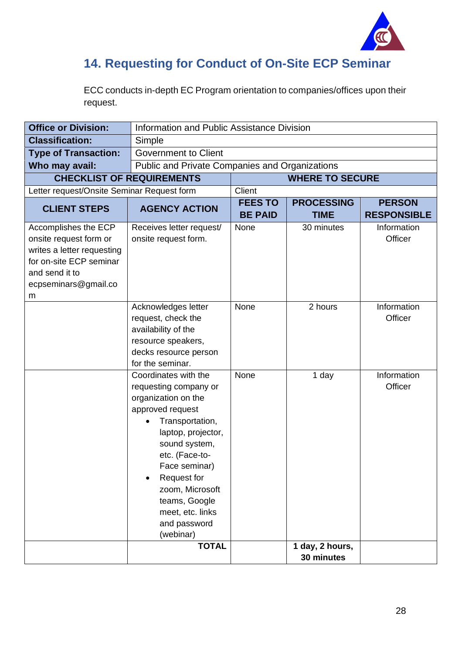

#### <span id="page-27-0"></span>**14. Requesting for Conduct of On-Site ECP Seminar**

ECC conducts in-depth EC Program orientation to companies/offices upon their request.

| <b>Office or Division:</b>                                                                                                                             |                                                                                                                                                                                                                                                                                                        | Information and Public Assistance Division |                                  |                                     |  |
|--------------------------------------------------------------------------------------------------------------------------------------------------------|--------------------------------------------------------------------------------------------------------------------------------------------------------------------------------------------------------------------------------------------------------------------------------------------------------|--------------------------------------------|----------------------------------|-------------------------------------|--|
| <b>Classification:</b>                                                                                                                                 | Simple                                                                                                                                                                                                                                                                                                 |                                            |                                  |                                     |  |
| <b>Type of Transaction:</b>                                                                                                                            | <b>Government to Client</b>                                                                                                                                                                                                                                                                            |                                            |                                  |                                     |  |
| Who may avail:                                                                                                                                         | Public and Private Companies and Organizations                                                                                                                                                                                                                                                         |                                            |                                  |                                     |  |
|                                                                                                                                                        | <b>CHECKLIST OF REQUIREMENTS</b>                                                                                                                                                                                                                                                                       |                                            | <b>WHERE TO SECURE</b>           |                                     |  |
| Letter request/Onsite Seminar Request form                                                                                                             |                                                                                                                                                                                                                                                                                                        | Client                                     |                                  |                                     |  |
| <b>CLIENT STEPS</b>                                                                                                                                    | <b>AGENCY ACTION</b>                                                                                                                                                                                                                                                                                   | <b>FEES TO</b><br><b>BE PAID</b>           | <b>PROCESSING</b><br><b>TIME</b> | <b>PERSON</b><br><b>RESPONSIBLE</b> |  |
| Accomplishes the ECP<br>onsite request form or<br>writes a letter requesting<br>for on-site ECP seminar<br>and send it to<br>ecpseminars@gmail.co<br>m | Receives letter request/<br>onsite request form.                                                                                                                                                                                                                                                       | None                                       | 30 minutes                       | Information<br>Officer              |  |
|                                                                                                                                                        | Acknowledges letter<br>request, check the<br>availability of the<br>resource speakers,<br>decks resource person<br>for the seminar.                                                                                                                                                                    | <b>None</b>                                | 2 hours                          | Information<br>Officer              |  |
|                                                                                                                                                        | Coordinates with the<br>requesting company or<br>organization on the<br>approved request<br>Transportation,<br>$\bullet$<br>laptop, projector,<br>sound system,<br>etc. (Face-to-<br>Face seminar)<br>Request for<br>zoom, Microsoft<br>teams, Google<br>meet, etc. links<br>and password<br>(webinar) | None                                       | 1 day                            | Information<br>Officer              |  |
|                                                                                                                                                        | <b>TOTAL</b>                                                                                                                                                                                                                                                                                           |                                            | 1 day, 2 hours,<br>30 minutes    |                                     |  |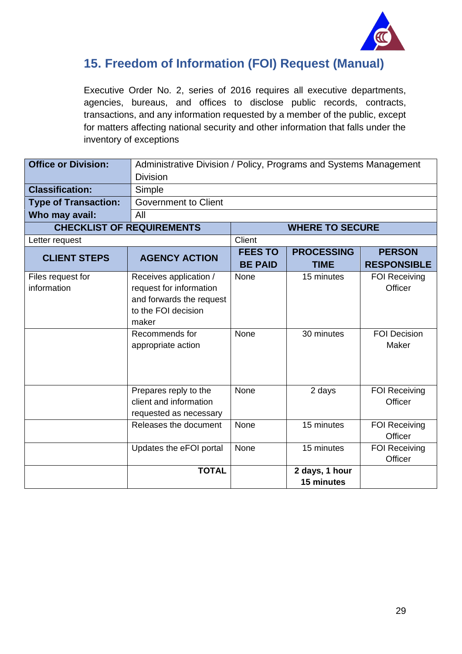

#### <span id="page-28-0"></span>**15. Freedom of Information (FOI) Request (Manual)**

Executive Order No. 2, series of 2016 requires all executive departments, agencies, bureaus, and offices to disclose public records, contracts, transactions, and any information requested by a member of the public, except for matters affecting national security and other information that falls under the inventory of exceptions

| <b>Office or Division:</b>       | Administrative Division / Policy, Programs and Systems Management<br><b>Division</b>                          |                                  |                                  |                                     |
|----------------------------------|---------------------------------------------------------------------------------------------------------------|----------------------------------|----------------------------------|-------------------------------------|
| <b>Classification:</b>           | Simple                                                                                                        |                                  |                                  |                                     |
| <b>Type of Transaction:</b>      | <b>Government to Client</b>                                                                                   |                                  |                                  |                                     |
| Who may avail:                   | All                                                                                                           |                                  |                                  |                                     |
| <b>CHECKLIST OF REQUIREMENTS</b> |                                                                                                               |                                  | <b>WHERE TO SECURE</b>           |                                     |
| Letter request                   |                                                                                                               | Client                           |                                  |                                     |
| <b>CLIENT STEPS</b>              | <b>AGENCY ACTION</b>                                                                                          | <b>FEES TO</b><br><b>BE PAID</b> | <b>PROCESSING</b><br><b>TIME</b> | <b>PERSON</b><br><b>RESPONSIBLE</b> |
| Files request for<br>information | Receives application /<br>request for information<br>and forwards the request<br>to the FOI decision<br>maker | None                             | 15 minutes                       | <b>FOI Receiving</b><br>Officer     |
|                                  | Recommends for<br>appropriate action                                                                          | None                             | 30 minutes                       | <b>FOI Decision</b><br>Maker        |
|                                  | Prepares reply to the<br>client and information<br>requested as necessary                                     | None                             | 2 days                           | <b>FOI Receiving</b><br>Officer     |
|                                  | Releases the document                                                                                         | None                             | 15 minutes                       | <b>FOI Receiving</b><br>Officer     |
|                                  | Updates the eFOI portal                                                                                       | None                             | 15 minutes                       | <b>FOI Receiving</b><br>Officer     |
|                                  | <b>TOTAL</b>                                                                                                  |                                  | 2 days, 1 hour<br>15 minutes     |                                     |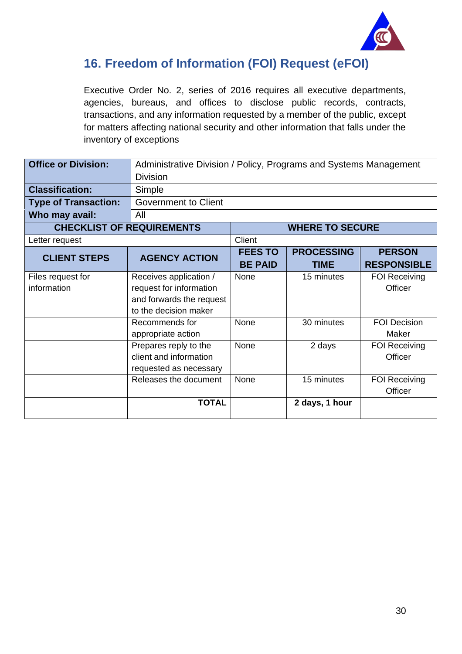

#### <span id="page-29-0"></span>**16. Freedom of Information (FOI) Request (eFOI)**

Executive Order No. 2, series of 2016 requires all executive departments, agencies, bureaus, and offices to disclose public records, contracts, transactions, and any information requested by a member of the public, except for matters affecting national security and other information that falls under the inventory of exceptions

| <b>Office or Division:</b>       |                                                                                                        | Administrative Division / Policy, Programs and Systems Management |                                  |                                     |  |
|----------------------------------|--------------------------------------------------------------------------------------------------------|-------------------------------------------------------------------|----------------------------------|-------------------------------------|--|
|                                  | <b>Division</b>                                                                                        |                                                                   |                                  |                                     |  |
| <b>Classification:</b>           | Simple                                                                                                 |                                                                   |                                  |                                     |  |
| <b>Type of Transaction:</b>      | <b>Government to Client</b>                                                                            |                                                                   |                                  |                                     |  |
| Who may avail:                   | All                                                                                                    |                                                                   |                                  |                                     |  |
|                                  | <b>CHECKLIST OF REQUIREMENTS</b>                                                                       | <b>WHERE TO SECURE</b>                                            |                                  |                                     |  |
| Letter request                   |                                                                                                        | Client                                                            |                                  |                                     |  |
| <b>CLIENT STEPS</b>              | <b>AGENCY ACTION</b>                                                                                   | <b>FEES TO</b><br><b>BE PAID</b>                                  | <b>PROCESSING</b><br><b>TIME</b> | <b>PERSON</b><br><b>RESPONSIBLE</b> |  |
| Files request for<br>information | Receives application /<br>request for information<br>and forwards the request<br>to the decision maker | None                                                              | 15 minutes                       | <b>FOI Receiving</b><br>Officer     |  |
|                                  | Recommends for<br>appropriate action                                                                   | None                                                              | 30 minutes                       | <b>FOI Decision</b><br>Maker        |  |
|                                  | Prepares reply to the<br>client and information<br>requested as necessary                              | None                                                              | 2 days                           | <b>FOI Receiving</b><br>Officer     |  |
|                                  | Releases the document                                                                                  | <b>None</b>                                                       | 15 minutes                       | <b>FOI Receiving</b><br>Officer     |  |
|                                  | <b>TOTAL</b>                                                                                           |                                                                   | 2 days, 1 hour                   |                                     |  |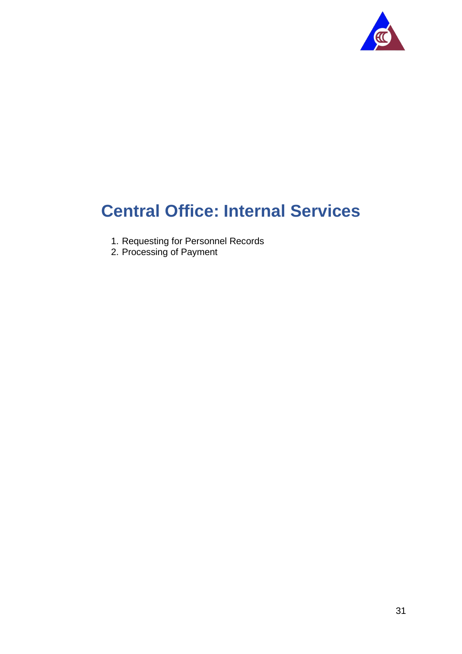

## <span id="page-30-0"></span>**Central Office: Internal Services**

- 1. Requesting for Personnel Records
- 2. Processing of Payment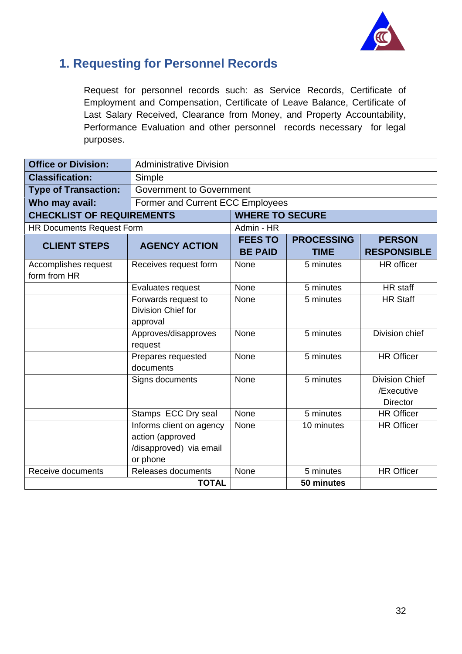

#### <span id="page-31-0"></span>**1. Requesting for Personnel Records**

Request for personnel records such: as Service Records, Certificate of Employment and Compensation, Certificate of Leave Balance, Certificate of Last Salary Received, Clearance from Money, and Property Accountability, Performance Evaluation and other personnel records necessary for legal purposes.

| <b>Office or Division:</b>           | <b>Administrative Division</b>                                                      |                                  |                                  |                                                        |  |
|--------------------------------------|-------------------------------------------------------------------------------------|----------------------------------|----------------------------------|--------------------------------------------------------|--|
| <b>Classification:</b>               | Simple                                                                              |                                  |                                  |                                                        |  |
| <b>Type of Transaction:</b>          | <b>Government to Government</b>                                                     |                                  |                                  |                                                        |  |
| Who may avail:                       | Former and Current ECC Employees                                                    |                                  |                                  |                                                        |  |
| <b>CHECKLIST OF REQUIREMENTS</b>     |                                                                                     | <b>WHERE TO SECURE</b>           |                                  |                                                        |  |
| <b>HR Documents Request Form</b>     |                                                                                     | Admin - HR                       |                                  |                                                        |  |
| <b>CLIENT STEPS</b>                  | <b>AGENCY ACTION</b>                                                                | <b>FEES TO</b><br><b>BE PAID</b> | <b>PROCESSING</b><br><b>TIME</b> | <b>PERSON</b><br><b>RESPONSIBLE</b>                    |  |
| Accomplishes request<br>form from HR | Receives request form                                                               | None                             | 5 minutes                        | <b>HR</b> officer                                      |  |
|                                      | Evaluates request                                                                   | None                             | 5 minutes                        | HR staff                                               |  |
|                                      | Forwards request to<br>Division Chief for<br>approval                               | None                             | 5 minutes                        | <b>HR Staff</b>                                        |  |
|                                      | Approves/disapproves<br>request                                                     | None                             | 5 minutes                        | Division chief                                         |  |
|                                      | Prepares requested<br>documents                                                     | None                             | 5 minutes                        | <b>HR Officer</b>                                      |  |
|                                      | Signs documents                                                                     | None                             | 5 minutes                        | <b>Division Chief</b><br>/Executive<br><b>Director</b> |  |
|                                      | Stamps ECC Dry seal                                                                 | None                             | 5 minutes                        | <b>HR Officer</b>                                      |  |
|                                      | Informs client on agency<br>action (approved<br>/disapproved) via email<br>or phone | None                             | 10 minutes                       | <b>HR Officer</b>                                      |  |
| Receive documents                    | Releases documents                                                                  | None                             | 5 minutes                        | <b>HR Officer</b>                                      |  |
|                                      | <b>TOTAL</b>                                                                        |                                  | 50 minutes                       |                                                        |  |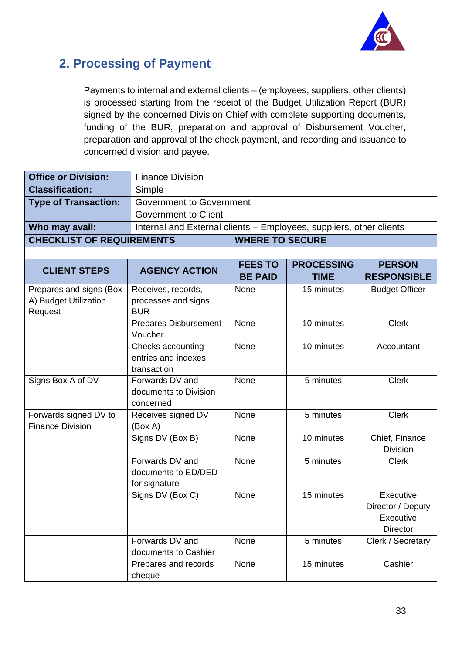

#### <span id="page-32-0"></span>**2. Processing of Payment**

Payments to internal and external clients – (employees, suppliers, other clients) is processed starting from the receipt of the Budget Utilization Report (BUR) signed by the concerned Division Chief with complete supporting documents, funding of the BUR, preparation and approval of Disbursement Voucher, preparation and approval of the check payment, and recording and issuance to concerned division and payee.

| <b>Office or Division:</b>       | <b>Finance Division</b>                  |                                                                     |                                  |                                     |  |
|----------------------------------|------------------------------------------|---------------------------------------------------------------------|----------------------------------|-------------------------------------|--|
| <b>Classification:</b>           | Simple                                   |                                                                     |                                  |                                     |  |
| <b>Type of Transaction:</b>      | <b>Government to Government</b>          |                                                                     |                                  |                                     |  |
|                                  | <b>Government to Client</b>              |                                                                     |                                  |                                     |  |
| Who may avail:                   |                                          | Internal and External clients - Employees, suppliers, other clients |                                  |                                     |  |
| <b>CHECKLIST OF REQUIREMENTS</b> | <b>WHERE TO SECURE</b>                   |                                                                     |                                  |                                     |  |
|                                  |                                          |                                                                     |                                  |                                     |  |
| <b>CLIENT STEPS</b>              | <b>AGENCY ACTION</b>                     | <b>FEES TO</b><br><b>BE PAID</b>                                    | <b>PROCESSING</b><br><b>TIME</b> | <b>PERSON</b><br><b>RESPONSIBLE</b> |  |
| Prepares and signs (Box          | Receives, records,                       | None                                                                | 15 minutes                       | <b>Budget Officer</b>               |  |
| A) Budget Utilization            | processes and signs                      |                                                                     |                                  |                                     |  |
| Request                          | <b>BUR</b>                               |                                                                     |                                  |                                     |  |
|                                  | <b>Prepares Disbursement</b>             | None                                                                | 10 minutes                       | <b>Clerk</b>                        |  |
|                                  | Voucher                                  | None                                                                | 10 minutes                       |                                     |  |
|                                  | Checks accounting<br>entries and indexes |                                                                     |                                  | Accountant                          |  |
|                                  | transaction                              |                                                                     |                                  |                                     |  |
| Signs Box A of DV                | Forwards DV and                          | None                                                                | 5 minutes                        | <b>Clerk</b>                        |  |
|                                  | documents to Division                    |                                                                     |                                  |                                     |  |
|                                  | concerned                                |                                                                     |                                  |                                     |  |
| Forwards signed DV to            | Receives signed DV                       | None                                                                | 5 minutes                        | <b>Clerk</b>                        |  |
| <b>Finance Division</b>          | (Box A)                                  |                                                                     |                                  |                                     |  |
|                                  | Signs DV (Box B)                         | None                                                                | 10 minutes                       | Chief, Finance                      |  |
|                                  |                                          |                                                                     |                                  | <b>Division</b>                     |  |
|                                  | Forwards DV and<br>documents to ED/DED   | None                                                                | 5 minutes                        | <b>Clerk</b>                        |  |
|                                  | for signature                            |                                                                     |                                  |                                     |  |
|                                  | Signs DV (Box C)                         | None                                                                | 15 minutes                       | Executive                           |  |
|                                  |                                          |                                                                     |                                  | Director / Deputy                   |  |
|                                  |                                          |                                                                     |                                  | Executive                           |  |
|                                  |                                          |                                                                     |                                  | Director                            |  |
|                                  | Forwards DV and                          | None                                                                | 5 minutes                        | Clerk / Secretary                   |  |
|                                  | documents to Cashier                     |                                                                     |                                  |                                     |  |
|                                  | Prepares and records                     | None                                                                | 15 minutes                       | Cashier                             |  |
|                                  | cheque                                   |                                                                     |                                  |                                     |  |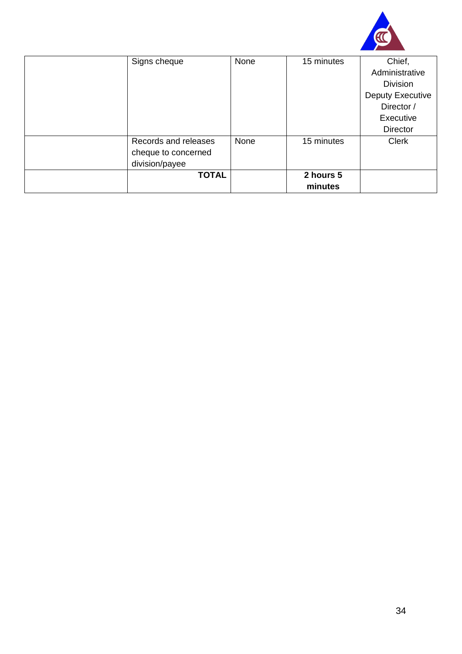

| Signs cheque         | None | 15 minutes | Chief,           |
|----------------------|------|------------|------------------|
|                      |      |            | Administrative   |
|                      |      |            | <b>Division</b>  |
|                      |      |            | Deputy Executive |
|                      |      |            | Director /       |
|                      |      |            | Executive        |
|                      |      |            | <b>Director</b>  |
| Records and releases | None | 15 minutes | <b>Clerk</b>     |
| cheque to concerned  |      |            |                  |
| division/payee       |      |            |                  |
| <b>TOTAL</b>         |      | 2 hours 5  |                  |
|                      |      | minutes    |                  |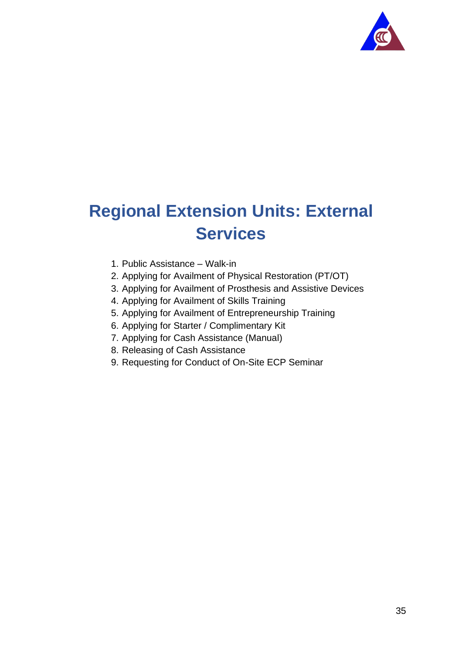

# <span id="page-34-0"></span>**Regional Extension Units: External Services**

- 1. Public Assistance Walk-in
- 2. Applying for Availment of Physical Restoration (PT/OT)
- 3. Applying for Availment of Prosthesis and Assistive Devices
- 4. Applying for Availment of Skills Training
- 5. Applying for Availment of Entrepreneurship Training
- 6. Applying for Starter / Complimentary Kit
- 7. Applying for Cash Assistance (Manual)
- 8. Releasing of Cash Assistance
- 9. Requesting for Conduct of On-Site ECP Seminar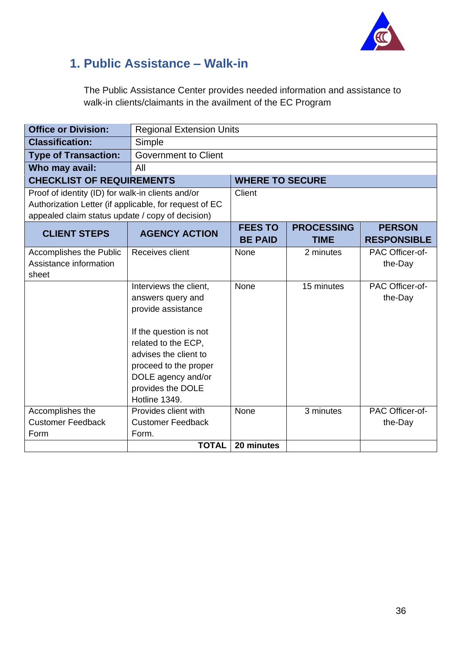

### <span id="page-35-0"></span>**1. Public Assistance – Walk-in**

The Public Assistance Center provides needed information and assistance to walk-in clients/claimants in the availment of the EC Program

| <b>Office or Division:</b>                                                                                                                                      | <b>Regional Extension Units</b>                                                                                                                                                                                                  |                                  |                                  |                                     |
|-----------------------------------------------------------------------------------------------------------------------------------------------------------------|----------------------------------------------------------------------------------------------------------------------------------------------------------------------------------------------------------------------------------|----------------------------------|----------------------------------|-------------------------------------|
| <b>Classification:</b>                                                                                                                                          | Simple                                                                                                                                                                                                                           |                                  |                                  |                                     |
| <b>Type of Transaction:</b>                                                                                                                                     | <b>Government to Client</b>                                                                                                                                                                                                      |                                  |                                  |                                     |
| Who may avail:                                                                                                                                                  | All                                                                                                                                                                                                                              |                                  |                                  |                                     |
| <b>CHECKLIST OF REQUIREMENTS</b>                                                                                                                                |                                                                                                                                                                                                                                  | <b>WHERE TO SECURE</b>           |                                  |                                     |
| Proof of identity (ID) for walk-in clients and/or<br>Authorization Letter (if applicable, for request of EC<br>appealed claim status update / copy of decision) |                                                                                                                                                                                                                                  | Client                           |                                  |                                     |
| <b>CLIENT STEPS</b>                                                                                                                                             | <b>AGENCY ACTION</b>                                                                                                                                                                                                             | <b>FEES TO</b><br><b>BE PAID</b> | <b>PROCESSING</b><br><b>TIME</b> | <b>PERSON</b><br><b>RESPONSIBLE</b> |
| Accomplishes the Public<br>Assistance information<br>sheet                                                                                                      | Receives client                                                                                                                                                                                                                  | None                             | 2 minutes                        | PAC Officer-of-<br>the-Day          |
|                                                                                                                                                                 | Interviews the client,<br>answers query and<br>provide assistance<br>If the question is not<br>related to the ECP,<br>advises the client to<br>proceed to the proper<br>DOLE agency and/or<br>provides the DOLE<br>Hotline 1349. | None                             | 15 minutes                       | PAC Officer-of-<br>the-Day          |
| Accomplishes the<br><b>Customer Feedback</b>                                                                                                                    | Provides client with<br><b>Customer Feedback</b>                                                                                                                                                                                 | None                             | 3 minutes                        | PAC Officer-of-                     |
| Form                                                                                                                                                            | Form.                                                                                                                                                                                                                            |                                  |                                  | the-Day                             |
|                                                                                                                                                                 | <b>TOTAL</b>                                                                                                                                                                                                                     | 20 minutes                       |                                  |                                     |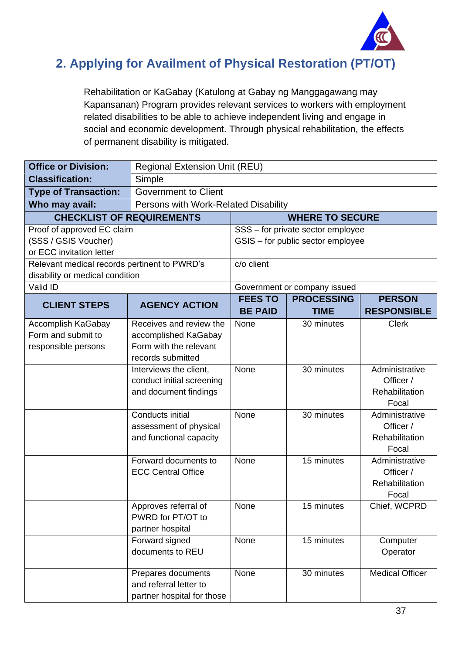

#### <span id="page-36-0"></span>**2. Applying for Availment of Physical Restoration (PT/OT)**

Rehabilitation or KaGabay (Katulong at Gabay ng Manggagawang may Kapansanan) Program provides relevant services to workers with employment related disabilities to be able to achieve independent living and engage in social and economic development. Through physical rehabilitation, the effects of permanent disability is mitigated.

| <b>Office or Division:</b>                   | <b>Regional Extension Unit (REU)</b> |                                  |                                   |                                     |  |
|----------------------------------------------|--------------------------------------|----------------------------------|-----------------------------------|-------------------------------------|--|
| <b>Classification:</b>                       | Simple                               |                                  |                                   |                                     |  |
| <b>Type of Transaction:</b>                  | <b>Government to Client</b>          |                                  |                                   |                                     |  |
| Who may avail:                               | Persons with Work-Related Disability |                                  |                                   |                                     |  |
| <b>CHECKLIST OF REQUIREMENTS</b>             |                                      |                                  | <b>WHERE TO SECURE</b>            |                                     |  |
| Proof of approved EC claim                   |                                      |                                  | SSS - for private sector employee |                                     |  |
| (SSS / GSIS Voucher)                         |                                      |                                  | GSIS - for public sector employee |                                     |  |
| or ECC invitation letter                     |                                      |                                  |                                   |                                     |  |
| Relevant medical records pertinent to PWRD's |                                      | c/o client                       |                                   |                                     |  |
| disability or medical condition              |                                      |                                  |                                   |                                     |  |
| Valid ID                                     |                                      |                                  | Government or company issued      |                                     |  |
| <b>CLIENT STEPS</b>                          | <b>AGENCY ACTION</b>                 | <b>FEES TO</b><br><b>BE PAID</b> | <b>PROCESSING</b><br><b>TIME</b>  | <b>PERSON</b><br><b>RESPONSIBLE</b> |  |
| Accomplish KaGabay                           | Receives and review the              | None                             | 30 minutes                        | <b>Clerk</b>                        |  |
| Form and submit to                           | accomplished KaGabay                 |                                  |                                   |                                     |  |
| responsible persons                          | Form with the relevant               |                                  |                                   |                                     |  |
|                                              | records submitted                    |                                  |                                   |                                     |  |
|                                              | Interviews the client,               | None                             | 30 minutes                        | Administrative                      |  |
|                                              | conduct initial screening            |                                  |                                   | Officer /                           |  |
|                                              | and document findings                |                                  |                                   | Rehabilitation                      |  |
|                                              |                                      |                                  |                                   | Focal                               |  |
|                                              | Conducts initial                     | None                             | 30 minutes                        | Administrative                      |  |
|                                              | assessment of physical               |                                  |                                   | Officer /                           |  |
|                                              | and functional capacity              |                                  |                                   | Rehabilitation                      |  |
|                                              |                                      |                                  |                                   | Focal                               |  |
|                                              | Forward documents to                 | None                             | 15 minutes                        | Administrative                      |  |
|                                              | <b>ECC Central Office</b>            |                                  |                                   | Officer /                           |  |
|                                              |                                      |                                  |                                   | Rehabilitation<br>Focal             |  |
|                                              | Approves referral of                 | None                             | 15 minutes                        | Chief, WCPRD                        |  |
|                                              | PWRD for PT/OT to                    |                                  |                                   |                                     |  |
|                                              | partner hospital                     |                                  |                                   |                                     |  |
|                                              | Forward signed                       | None                             | 15 minutes                        | Computer                            |  |
|                                              | documents to REU                     |                                  |                                   | Operator                            |  |
|                                              |                                      |                                  |                                   |                                     |  |
|                                              | Prepares documents                   | None                             | 30 minutes                        | <b>Medical Officer</b>              |  |
|                                              | and referral letter to               |                                  |                                   |                                     |  |
|                                              | partner hospital for those           |                                  |                                   |                                     |  |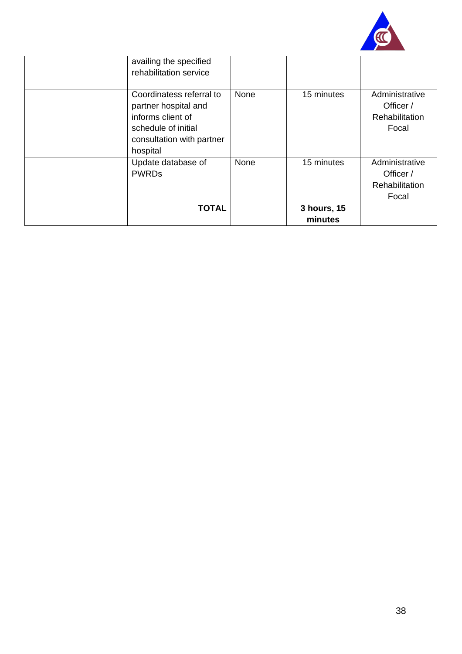

| availing the specified<br>rehabilitation service                                                                                      |      |                        |                                                               |
|---------------------------------------------------------------------------------------------------------------------------------------|------|------------------------|---------------------------------------------------------------|
| Coordinatess referral to<br>partner hospital and<br>informs client of<br>schedule of initial<br>consultation with partner<br>hospital | None | 15 minutes             | Administrative<br>Officer /<br><b>Rehabilitation</b><br>Focal |
| Update database of<br><b>PWRDs</b>                                                                                                    | None | 15 minutes             | Administrative<br>Officer /<br>Rehabilitation<br>Focal        |
| <b>TOTAL</b>                                                                                                                          |      | 3 hours, 15<br>minutes |                                                               |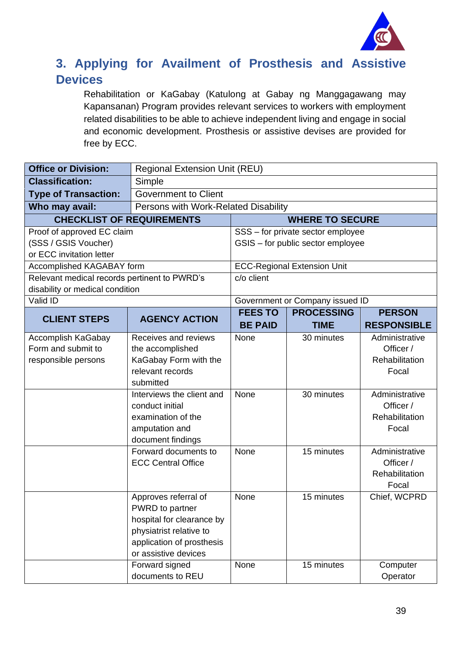

#### <span id="page-38-0"></span>**3. Applying for Availment of Prosthesis and Assistive Devices**

Rehabilitation or KaGabay (Katulong at Gabay ng Manggagawang may Kapansanan) Program provides relevant services to workers with employment related disabilities to be able to achieve independent living and engage in social and economic development. Prosthesis or assistive devises are provided for free by ECC.

| <b>Office or Division:</b>                                                      | <b>Regional Extension Unit (REU)</b>                                                                                                                                                                                                                                 |                         |                                        |                                                                                                                                                                            |
|---------------------------------------------------------------------------------|----------------------------------------------------------------------------------------------------------------------------------------------------------------------------------------------------------------------------------------------------------------------|-------------------------|----------------------------------------|----------------------------------------------------------------------------------------------------------------------------------------------------------------------------|
| <b>Classification:</b>                                                          | Simple                                                                                                                                                                                                                                                               |                         |                                        |                                                                                                                                                                            |
| <b>Type of Transaction:</b>                                                     | <b>Government to Client</b>                                                                                                                                                                                                                                          |                         |                                        |                                                                                                                                                                            |
| Who may avail:                                                                  | Persons with Work-Related Disability                                                                                                                                                                                                                                 |                         |                                        |                                                                                                                                                                            |
| <b>CHECKLIST OF REQUIREMENTS</b>                                                |                                                                                                                                                                                                                                                                      |                         | <b>WHERE TO SECURE</b>                 |                                                                                                                                                                            |
| Proof of approved EC claim                                                      |                                                                                                                                                                                                                                                                      |                         | SSS - for private sector employee      |                                                                                                                                                                            |
| (SSS / GSIS Voucher)                                                            |                                                                                                                                                                                                                                                                      |                         | GSIS - for public sector employee      |                                                                                                                                                                            |
| or ECC invitation letter                                                        |                                                                                                                                                                                                                                                                      |                         |                                        |                                                                                                                                                                            |
| Accomplished KAGABAY form                                                       |                                                                                                                                                                                                                                                                      |                         | <b>ECC-Regional Extension Unit</b>     |                                                                                                                                                                            |
| Relevant medical records pertinent to PWRD's<br>disability or medical condition |                                                                                                                                                                                                                                                                      | $\overline{c/o}$ client |                                        |                                                                                                                                                                            |
| Valid ID                                                                        |                                                                                                                                                                                                                                                                      |                         | Government or Company issued ID        |                                                                                                                                                                            |
|                                                                                 |                                                                                                                                                                                                                                                                      | <b>FEES TO</b>          | <b>PROCESSING</b>                      | <b>PERSON</b>                                                                                                                                                              |
| <b>CLIENT STEPS</b>                                                             | <b>AGENCY ACTION</b>                                                                                                                                                                                                                                                 | <b>BE PAID</b>          | <b>TIME</b>                            | <b>RESPONSIBLE</b>                                                                                                                                                         |
| Accomplish KaGabay<br>Form and submit to<br>responsible persons                 | Receives and reviews<br>the accomplished<br>KaGabay Form with the<br>relevant records<br>submitted<br>Interviews the client and<br>conduct initial<br>examination of the<br>amputation and<br>document findings<br>Forward documents to<br><b>ECC Central Office</b> | None<br>None<br>None    | 30 minutes<br>30 minutes<br>15 minutes | Administrative<br>Officer /<br>Rehabilitation<br>Focal<br>Administrative<br>Officer /<br>Rehabilitation<br>Focal<br>Administrative<br>Officer /<br>Rehabilitation<br>Focal |
|                                                                                 | Approves referral of<br>PWRD to partner<br>hospital for clearance by<br>physiatrist relative to<br>application of prosthesis<br>or assistive devices<br>Forward signed                                                                                               | None<br>None            | 15 minutes<br>15 minutes               | Chief, WCPRD<br>Computer                                                                                                                                                   |
|                                                                                 | documents to REU                                                                                                                                                                                                                                                     |                         |                                        | Operator                                                                                                                                                                   |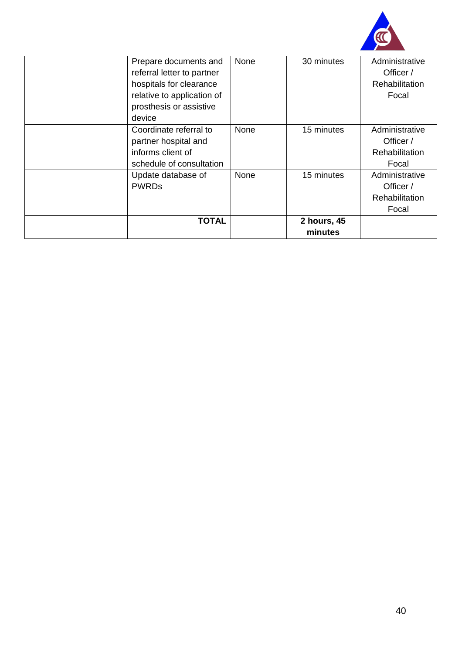

| Prepare documents and      | None | 30 minutes  | Administrative        |
|----------------------------|------|-------------|-----------------------|
| referral letter to partner |      |             | Officer /             |
| hospitals for clearance    |      |             | <b>Rehabilitation</b> |
| relative to application of |      |             | Focal                 |
| prosthesis or assistive    |      |             |                       |
| device                     |      |             |                       |
| Coordinate referral to     | None | 15 minutes  | Administrative        |
| partner hospital and       |      |             | Officer /             |
| informs client of          |      |             | Rehabilitation        |
| schedule of consultation   |      |             | Focal                 |
| Update database of         | None | 15 minutes  | Administrative        |
| <b>PWRDs</b>               |      |             | Officer /             |
|                            |      |             | Rehabilitation        |
|                            |      |             | Focal                 |
| <b>TOTAL</b>               |      | 2 hours, 45 |                       |
|                            |      | minutes     |                       |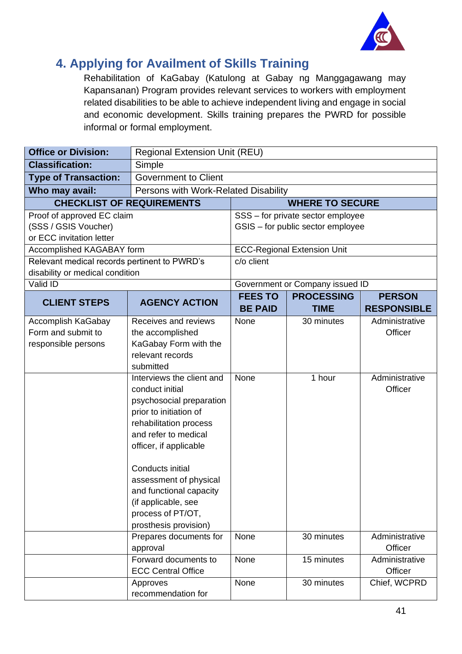

#### <span id="page-40-0"></span>**4. Applying for Availment of Skills Training**

Rehabilitation of KaGabay (Katulong at Gabay ng Manggagawang may Kapansanan) Program provides relevant services to workers with employment related disabilities to be able to achieve independent living and engage in social and economic development. Skills training prepares the PWRD for possible informal or formal employment.

| <b>Office or Division:</b>                   | <b>Regional Extension Unit (REU)</b> |                |                                    |                           |
|----------------------------------------------|--------------------------------------|----------------|------------------------------------|---------------------------|
| <b>Classification:</b>                       | Simple                               |                |                                    |                           |
| <b>Type of Transaction:</b>                  | <b>Government to Client</b>          |                |                                    |                           |
| Who may avail:                               | Persons with Work-Related Disability |                |                                    |                           |
| <b>CHECKLIST OF REQUIREMENTS</b>             |                                      |                | <b>WHERE TO SECURE</b>             |                           |
| Proof of approved EC claim                   |                                      |                | SSS - for private sector employee  |                           |
| (SSS / GSIS Voucher)                         |                                      |                | GSIS - for public sector employee  |                           |
| or ECC invitation letter                     |                                      |                |                                    |                           |
| Accomplished KAGABAY form                    |                                      |                | <b>ECC-Regional Extension Unit</b> |                           |
| Relevant medical records pertinent to PWRD's |                                      | c/o client     |                                    |                           |
| disability or medical condition              |                                      |                |                                    |                           |
| Valid ID                                     |                                      |                | Government or Company issued ID    |                           |
| <b>CLIENT STEPS</b>                          | <b>AGENCY ACTION</b>                 | <b>FEES TO</b> | <b>PROCESSING</b>                  | <b>PERSON</b>             |
|                                              |                                      | <b>BE PAID</b> | <b>TIME</b>                        | <b>RESPONSIBLE</b>        |
| Accomplish KaGabay                           | Receives and reviews                 | None           | 30 minutes                         | Administrative            |
| Form and submit to                           | the accomplished                     |                |                                    | Officer                   |
| responsible persons                          | KaGabay Form with the                |                |                                    |                           |
|                                              | relevant records<br>submitted        |                |                                    |                           |
|                                              | Interviews the client and            | None           | 1 hour                             | Administrative            |
|                                              | conduct initial                      |                |                                    | Officer                   |
|                                              | psychosocial preparation             |                |                                    |                           |
|                                              | prior to initiation of               |                |                                    |                           |
|                                              | rehabilitation process               |                |                                    |                           |
|                                              | and refer to medical                 |                |                                    |                           |
|                                              | officer, if applicable               |                |                                    |                           |
|                                              |                                      |                |                                    |                           |
|                                              | Conducts initial                     |                |                                    |                           |
|                                              | assessment of physical               |                |                                    |                           |
|                                              | and functional capacity              |                |                                    |                           |
|                                              | (if applicable, see                  |                |                                    |                           |
|                                              | process of PT/OT,                    |                |                                    |                           |
|                                              | prosthesis provision)                | None           |                                    |                           |
|                                              | Prepares documents for<br>approval   |                | 30 minutes                         | Administrative<br>Officer |
|                                              | Forward documents to                 | None           | 15 minutes                         | Administrative            |
|                                              | <b>ECC Central Office</b>            |                |                                    | Officer                   |
|                                              | Approves                             | None           | 30 minutes                         | Chief, WCPRD              |
|                                              | recommendation for                   |                |                                    |                           |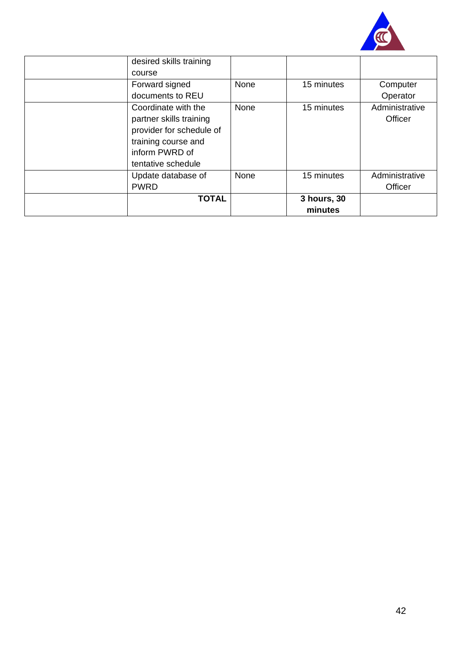

| desired skills training  |      |             |                |
|--------------------------|------|-------------|----------------|
| course                   |      |             |                |
| Forward signed           | None | 15 minutes  | Computer       |
| documents to REU         |      |             | Operator       |
| Coordinate with the      | None | 15 minutes  | Administrative |
| partner skills training  |      |             | Officer        |
| provider for schedule of |      |             |                |
| training course and      |      |             |                |
| inform PWRD of           |      |             |                |
| tentative schedule       |      |             |                |
| Update database of       | None | 15 minutes  | Administrative |
| <b>PWRD</b>              |      |             | Officer        |
| <b>TOTAL</b>             |      | 3 hours, 30 |                |
|                          |      | minutes     |                |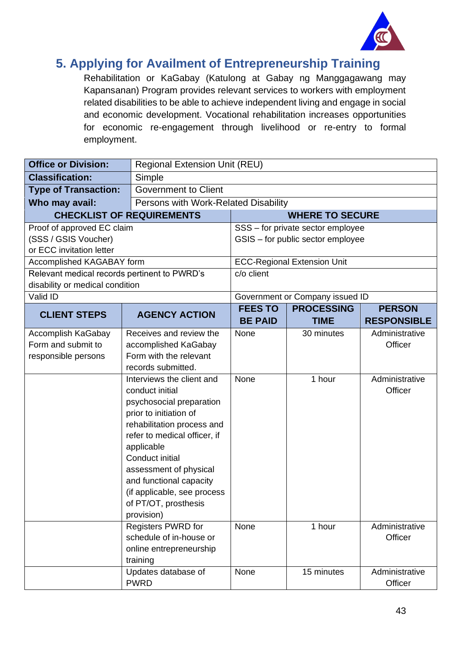

#### <span id="page-42-0"></span>**5. Applying for Availment of Entrepreneurship Training**

Rehabilitation or KaGabay (Katulong at Gabay ng Manggagawang may Kapansanan) Program provides relevant services to workers with employment related disabilities to be able to achieve independent living and engage in social and economic development. Vocational rehabilitation increases opportunities for economic re-engagement through livelihood or re-entry to formal employment.

| <b>Office or Division:</b>                   | <b>Regional Extension Unit (REU)</b>         |                |                                    |                    |  |
|----------------------------------------------|----------------------------------------------|----------------|------------------------------------|--------------------|--|
| <b>Classification:</b>                       | Simple                                       |                |                                    |                    |  |
| <b>Type of Transaction:</b>                  | <b>Government to Client</b>                  |                |                                    |                    |  |
| Who may avail:                               | Persons with Work-Related Disability         |                |                                    |                    |  |
|                                              | <b>CHECKLIST OF REQUIREMENTS</b>             |                | <b>WHERE TO SECURE</b>             |                    |  |
| Proof of approved EC claim                   |                                              |                | SSS - for private sector employee  |                    |  |
| (SSS / GSIS Voucher)                         |                                              |                | GSIS - for public sector employee  |                    |  |
| or ECC invitation letter                     |                                              |                |                                    |                    |  |
| Accomplished KAGABAY form                    |                                              |                | <b>ECC-Regional Extension Unit</b> |                    |  |
| Relevant medical records pertinent to PWRD's |                                              | c/o client     |                                    |                    |  |
| disability or medical condition              |                                              |                |                                    |                    |  |
| Valid ID                                     |                                              |                | Government or Company issued ID    |                    |  |
| <b>CLIENT STEPS</b>                          | <b>AGENCY ACTION</b>                         | <b>FEES TO</b> | <b>PROCESSING</b>                  | <b>PERSON</b>      |  |
|                                              |                                              | <b>BE PAID</b> | <b>TIME</b>                        | <b>RESPONSIBLE</b> |  |
| Accomplish KaGabay                           | Receives and review the                      | None           | 30 minutes                         | Administrative     |  |
| Form and submit to                           | accomplished KaGabay                         |                |                                    | Officer            |  |
| responsible persons                          | Form with the relevant<br>records submitted. |                |                                    |                    |  |
|                                              | Interviews the client and                    | None           | 1 hour                             | Administrative     |  |
|                                              | conduct initial                              |                |                                    | Officer            |  |
|                                              | psychosocial preparation                     |                |                                    |                    |  |
|                                              | prior to initiation of                       |                |                                    |                    |  |
|                                              | rehabilitation process and                   |                |                                    |                    |  |
|                                              | refer to medical officer, if                 |                |                                    |                    |  |
|                                              | applicable                                   |                |                                    |                    |  |
|                                              | Conduct initial                              |                |                                    |                    |  |
|                                              | assessment of physical                       |                |                                    |                    |  |
|                                              | and functional capacity                      |                |                                    |                    |  |
|                                              | (if applicable, see process                  |                |                                    |                    |  |
|                                              | of PT/OT, prosthesis                         |                |                                    |                    |  |
|                                              | provision)                                   |                |                                    |                    |  |
|                                              | <b>Registers PWRD for</b>                    | None           | 1 hour                             | Administrative     |  |
|                                              | schedule of in-house or                      | Officer        |                                    |                    |  |
|                                              | online entrepreneurship                      |                |                                    |                    |  |
|                                              | training<br>Updates database of              | None           | 15 minutes                         | Administrative     |  |
|                                              | <b>PWRD</b>                                  |                |                                    | Officer            |  |
|                                              |                                              |                |                                    |                    |  |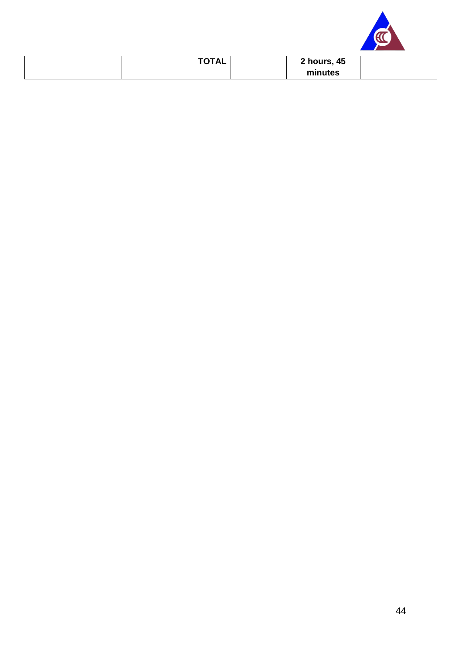

| <b>TOTAL</b> | 2 hours, 45 |  |
|--------------|-------------|--|
|              | minutes     |  |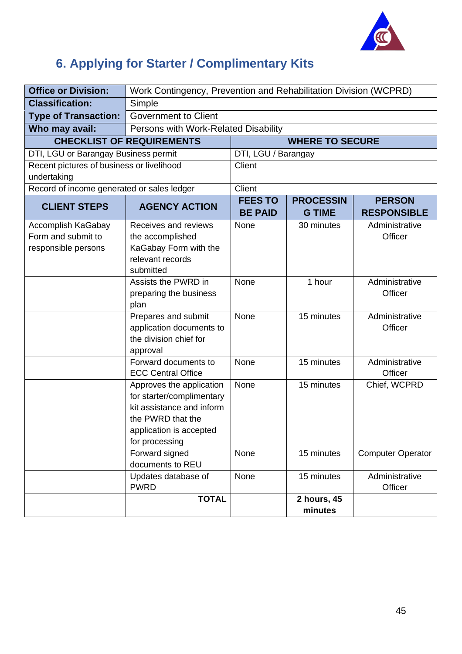![](_page_44_Picture_0.jpeg)

## <span id="page-44-0"></span>**6. Applying for Starter / Complimentary Kits**

| <b>Office or Division:</b>                 | Work Contingency, Prevention and Rehabilitation Division (WCPRD) |                                  |                                   |                                     |
|--------------------------------------------|------------------------------------------------------------------|----------------------------------|-----------------------------------|-------------------------------------|
| <b>Classification:</b>                     | Simple                                                           |                                  |                                   |                                     |
| <b>Type of Transaction:</b>                | <b>Government to Client</b>                                      |                                  |                                   |                                     |
| Who may avail:                             | Persons with Work-Related Disability                             |                                  |                                   |                                     |
|                                            | <b>CHECKLIST OF REQUIREMENTS</b>                                 |                                  | <b>WHERE TO SECURE</b>            |                                     |
| DTI, LGU or Barangay Business permit       |                                                                  | DTI, LGU / Barangay              |                                   |                                     |
| Recent pictures of business or livelihood  |                                                                  | Client                           |                                   |                                     |
| undertaking                                |                                                                  |                                  |                                   |                                     |
| Record of income generated or sales ledger |                                                                  | Client                           |                                   |                                     |
| <b>CLIENT STEPS</b>                        | <b>AGENCY ACTION</b>                                             | <b>FEES TO</b><br><b>BE PAID</b> | <b>PROCESSIN</b><br><b>G TIME</b> | <b>PERSON</b><br><b>RESPONSIBLE</b> |
| Accomplish KaGabay                         | Receives and reviews                                             | None                             | 30 minutes                        | Administrative                      |
| Form and submit to                         | the accomplished                                                 |                                  |                                   | Officer                             |
| responsible persons                        | KaGabay Form with the                                            |                                  |                                   |                                     |
|                                            | relevant records                                                 |                                  |                                   |                                     |
|                                            | submitted                                                        |                                  |                                   |                                     |
|                                            | Assists the PWRD in<br>preparing the business                    | None                             | 1 hour                            | Administrative<br>Officer           |
|                                            | plan                                                             |                                  |                                   |                                     |
|                                            | Prepares and submit                                              | None                             | 15 minutes                        | Administrative                      |
|                                            | application documents to                                         |                                  |                                   | Officer                             |
|                                            | the division chief for                                           |                                  |                                   |                                     |
|                                            | approval                                                         |                                  |                                   |                                     |
|                                            | Forward documents to                                             | None                             | 15 minutes                        | Administrative                      |
|                                            | <b>ECC Central Office</b>                                        | None                             | 15 minutes                        | Officer<br>Chief, WCPRD             |
|                                            | Approves the application<br>for starter/complimentary            |                                  |                                   |                                     |
|                                            | kit assistance and inform                                        |                                  |                                   |                                     |
|                                            | the PWRD that the                                                |                                  |                                   |                                     |
|                                            | application is accepted                                          |                                  |                                   |                                     |
|                                            | for processing                                                   |                                  |                                   |                                     |
|                                            | Forward signed                                                   | None                             | 15 minutes                        | <b>Computer Operator</b>            |
|                                            | documents to REU                                                 |                                  |                                   |                                     |
|                                            | Updates database of                                              | None                             | 15 minutes                        | Administrative                      |
|                                            | <b>PWRD</b>                                                      |                                  |                                   | Officer                             |
|                                            | <b>TOTAL</b>                                                     |                                  | 2 hours, 45                       |                                     |
|                                            |                                                                  |                                  | minutes                           |                                     |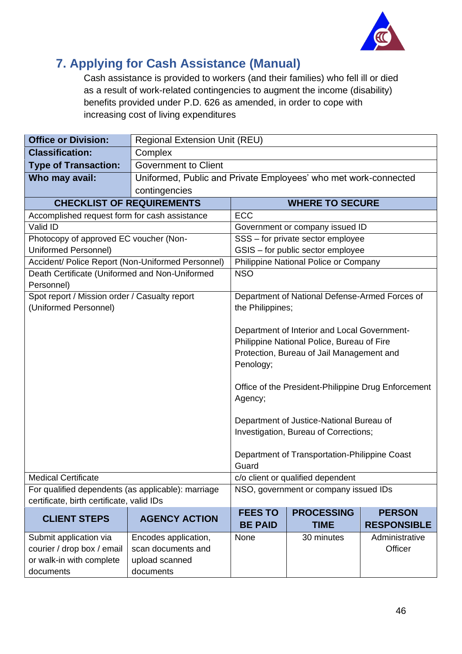![](_page_45_Picture_0.jpeg)

### <span id="page-45-0"></span>**7. Applying for Cash Assistance (Manual)**

Cash assistance is provided to workers (and their families) who fell ill or died as a result of work-related contingencies to augment the income (disability) benefits provided under P.D. 626 as amended, in order to cope with increasing cost of living expenditures

| <b>Office or Division:</b>                         | <b>Regional Extension Unit (REU)</b>       |                                                                 |                                                |                                                     |  |
|----------------------------------------------------|--------------------------------------------|-----------------------------------------------------------------|------------------------------------------------|-----------------------------------------------------|--|
| <b>Classification:</b>                             | Complex                                    |                                                                 |                                                |                                                     |  |
| <b>Type of Transaction:</b>                        | <b>Government to Client</b>                |                                                                 |                                                |                                                     |  |
| Who may avail:                                     |                                            | Uniformed, Public and Private Employees' who met work-connected |                                                |                                                     |  |
|                                                    | contingencies                              |                                                                 |                                                |                                                     |  |
|                                                    | <b>CHECKLIST OF REQUIREMENTS</b>           |                                                                 | <b>WHERE TO SECURE</b>                         |                                                     |  |
| Accomplished request form for cash assistance      |                                            | <b>ECC</b>                                                      |                                                |                                                     |  |
| Valid ID                                           |                                            |                                                                 | Government or company issued ID                |                                                     |  |
| Photocopy of approved EC voucher (Non-             |                                            |                                                                 | SSS - for private sector employee              |                                                     |  |
| Uniformed Personnel)                               |                                            |                                                                 | GSIS - for public sector employee              |                                                     |  |
| Accident/ Police Report (Non-Uniformed Personnel)  |                                            |                                                                 | Philippine National Police or Company          |                                                     |  |
| Death Certificate (Uniformed and Non-Uniformed     |                                            | <b>NSO</b>                                                      |                                                |                                                     |  |
| Personnel)                                         |                                            |                                                                 |                                                |                                                     |  |
| Spot report / Mission order / Casualty report      |                                            |                                                                 | Department of National Defense-Armed Forces of |                                                     |  |
| (Uniformed Personnel)                              |                                            | the Philippines;                                                |                                                |                                                     |  |
|                                                    |                                            |                                                                 |                                                |                                                     |  |
|                                                    |                                            | Department of Interior and Local Government-                    |                                                |                                                     |  |
|                                                    |                                            | Philippine National Police, Bureau of Fire                      |                                                |                                                     |  |
|                                                    |                                            | Protection, Bureau of Jail Management and<br>Penology;          |                                                |                                                     |  |
|                                                    |                                            |                                                                 |                                                |                                                     |  |
|                                                    |                                            |                                                                 |                                                | Office of the President-Philippine Drug Enforcement |  |
|                                                    |                                            | Agency;                                                         |                                                |                                                     |  |
|                                                    |                                            |                                                                 |                                                |                                                     |  |
|                                                    |                                            |                                                                 | Department of Justice-National Bureau of       |                                                     |  |
|                                                    |                                            | Investigation, Bureau of Corrections;                           |                                                |                                                     |  |
|                                                    |                                            |                                                                 |                                                |                                                     |  |
|                                                    |                                            |                                                                 | Department of Transportation-Philippine Coast  |                                                     |  |
|                                                    |                                            | Guard                                                           |                                                |                                                     |  |
| <b>Medical Certificate</b>                         |                                            |                                                                 | c/o client or qualified dependent              |                                                     |  |
| For qualified dependents (as applicable): marriage |                                            |                                                                 | NSO, government or company issued IDs          |                                                     |  |
| certificate, birth certificate, valid IDs          |                                            |                                                                 |                                                |                                                     |  |
| <b>CLIENT STEPS</b>                                | <b>AGENCY ACTION</b>                       | <b>FEES TO</b><br><b>BE PAID</b>                                | <b>PROCESSING</b><br><b>TIME</b>               | <b>PERSON</b><br><b>RESPONSIBLE</b>                 |  |
| Submit application via                             |                                            | None                                                            | 30 minutes                                     | Administrative                                      |  |
| courier / drop box / email                         | Encodes application,<br>scan documents and |                                                                 |                                                | Officer                                             |  |
| or walk-in with complete                           | upload scanned                             |                                                                 |                                                |                                                     |  |
| documents                                          | documents                                  |                                                                 |                                                |                                                     |  |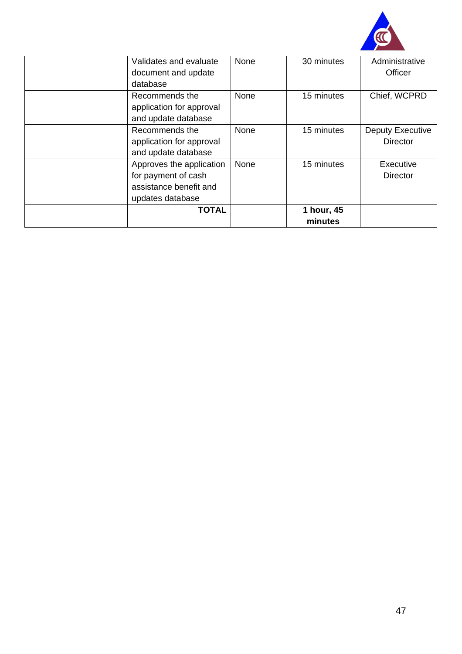![](_page_46_Picture_0.jpeg)

| Validates and evaluate   | None        | 30 minutes | Administrative          |
|--------------------------|-------------|------------|-------------------------|
| document and update      |             |            | Officer                 |
| database                 |             |            |                         |
| Recommends the           | None        | 15 minutes | Chief, WCPRD            |
| application for approval |             |            |                         |
| and update database      |             |            |                         |
| Recommends the           | <b>None</b> | 15 minutes | <b>Deputy Executive</b> |
| application for approval |             |            | <b>Director</b>         |
| and update database      |             |            |                         |
| Approves the application | None        | 15 minutes | Executive               |
| for payment of cash      |             |            | <b>Director</b>         |
| assistance benefit and   |             |            |                         |
| updates database         |             |            |                         |
| <b>TOTAL</b>             |             | 1 hour, 45 |                         |
|                          |             | minutes    |                         |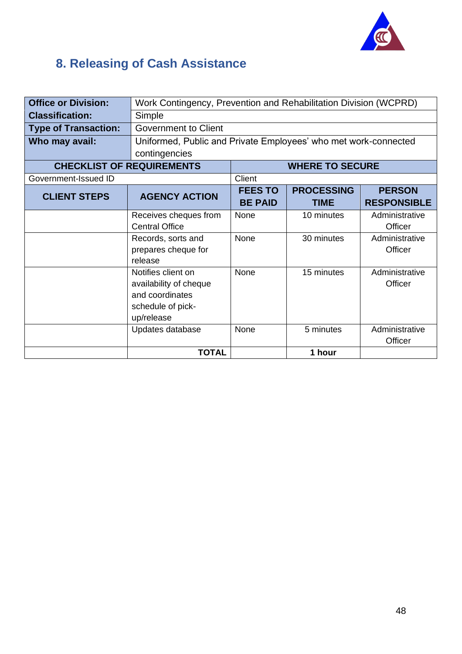![](_page_47_Picture_0.jpeg)

## <span id="page-47-0"></span>**8. Releasing of Cash Assistance**

| <b>Office or Division:</b>  |                                                                 | Work Contingency, Prevention and Rehabilitation Division (WCPRD) |                        |                    |  |
|-----------------------------|-----------------------------------------------------------------|------------------------------------------------------------------|------------------------|--------------------|--|
| <b>Classification:</b>      | Simple                                                          |                                                                  |                        |                    |  |
| <b>Type of Transaction:</b> | <b>Government to Client</b>                                     |                                                                  |                        |                    |  |
| Who may avail:              | Uniformed, Public and Private Employees' who met work-connected |                                                                  |                        |                    |  |
|                             | contingencies                                                   |                                                                  |                        |                    |  |
|                             | <b>CHECKLIST OF REQUIREMENTS</b>                                |                                                                  | <b>WHERE TO SECURE</b> |                    |  |
| Government-Issued ID        |                                                                 | Client                                                           |                        |                    |  |
| <b>CLIENT STEPS</b>         | <b>AGENCY ACTION</b>                                            | <b>FEES TO</b>                                                   | <b>PROCESSING</b>      | <b>PERSON</b>      |  |
|                             |                                                                 | <b>BE PAID</b>                                                   | <b>TIME</b>            | <b>RESPONSIBLE</b> |  |
|                             | Receives cheques from                                           | None                                                             | 10 minutes             | Administrative     |  |
|                             | <b>Central Office</b>                                           |                                                                  |                        | Officer            |  |
|                             | Records, sorts and                                              | None                                                             | 30 minutes             | Administrative     |  |
|                             | prepares cheque for                                             |                                                                  |                        | Officer            |  |
|                             | release                                                         |                                                                  |                        |                    |  |
|                             | Notifies client on                                              | None                                                             | 15 minutes             | Administrative     |  |
|                             | availability of cheque                                          |                                                                  |                        | Officer            |  |
|                             | and coordinates                                                 |                                                                  |                        |                    |  |
|                             | schedule of pick-                                               |                                                                  |                        |                    |  |
|                             | up/release                                                      |                                                                  |                        |                    |  |
|                             | Updates database                                                | None                                                             | 5 minutes              | Administrative     |  |
|                             |                                                                 |                                                                  |                        | Officer            |  |
|                             | <b>TOTAL</b>                                                    |                                                                  | 1 hour                 |                    |  |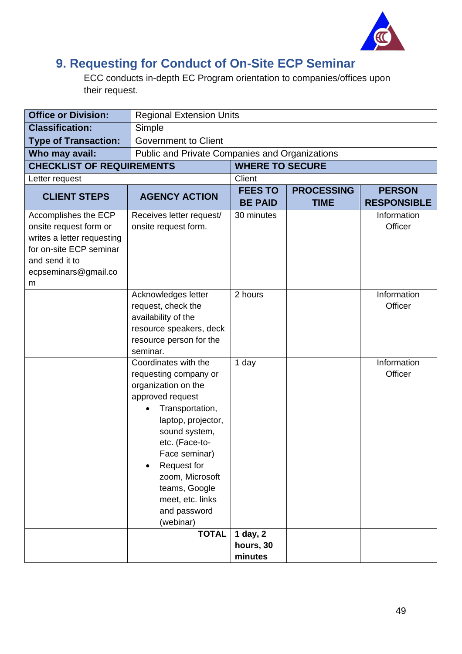![](_page_48_Picture_0.jpeg)

#### <span id="page-48-0"></span>**9. Requesting for Conduct of On-Site ECP Seminar**

ECC conducts in-depth EC Program orientation to companies/offices upon their request.

| <b>Office or Division:</b>                                                                                                                             |                                                                                                                                                                                                                                                                                                        | <b>Regional Extension Units</b>      |                                  |                                     |
|--------------------------------------------------------------------------------------------------------------------------------------------------------|--------------------------------------------------------------------------------------------------------------------------------------------------------------------------------------------------------------------------------------------------------------------------------------------------------|--------------------------------------|----------------------------------|-------------------------------------|
| <b>Classification:</b>                                                                                                                                 | Simple                                                                                                                                                                                                                                                                                                 |                                      |                                  |                                     |
| <b>Type of Transaction:</b>                                                                                                                            | <b>Government to Client</b>                                                                                                                                                                                                                                                                            |                                      |                                  |                                     |
| Who may avail:                                                                                                                                         | Public and Private Companies and Organizations                                                                                                                                                                                                                                                         |                                      |                                  |                                     |
| <b>CHECKLIST OF REQUIREMENTS</b>                                                                                                                       |                                                                                                                                                                                                                                                                                                        | <b>WHERE TO SECURE</b>               |                                  |                                     |
| Letter request                                                                                                                                         |                                                                                                                                                                                                                                                                                                        | Client                               |                                  |                                     |
| <b>CLIENT STEPS</b>                                                                                                                                    | <b>AGENCY ACTION</b>                                                                                                                                                                                                                                                                                   | <b>FEES TO</b><br><b>BE PAID</b>     | <b>PROCESSING</b><br><b>TIME</b> | <b>PERSON</b><br><b>RESPONSIBLE</b> |
| Accomplishes the ECP<br>onsite request form or<br>writes a letter requesting<br>for on-site ECP seminar<br>and send it to<br>ecpseminars@gmail.co<br>m | Receives letter request/<br>onsite request form.                                                                                                                                                                                                                                                       | 30 minutes                           |                                  | Information<br>Officer              |
|                                                                                                                                                        | Acknowledges letter<br>request, check the<br>availability of the<br>resource speakers, deck<br>resource person for the<br>seminar.                                                                                                                                                                     | 2 hours                              |                                  | Information<br>Officer              |
|                                                                                                                                                        | Coordinates with the<br>requesting company or<br>organization on the<br>approved request<br>Transportation,<br>$\bullet$<br>laptop, projector,<br>sound system,<br>etc. (Face-to-<br>Face seminar)<br>Request for<br>zoom, Microsoft<br>teams, Google<br>meet, etc. links<br>and password<br>(webinar) | 1 day                                |                                  | Information<br>Officer              |
|                                                                                                                                                        | <b>TOTAL</b>                                                                                                                                                                                                                                                                                           | $1$ day, $2$<br>hours, 30<br>minutes |                                  |                                     |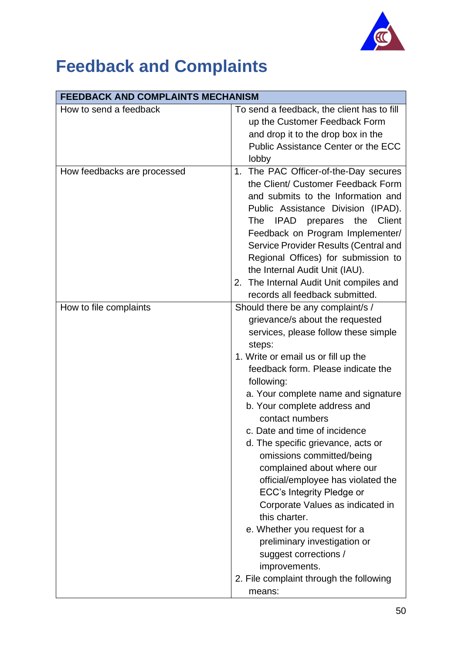![](_page_49_Picture_0.jpeg)

# <span id="page-49-0"></span>**Feedback and Complaints**

| <b>FEEDBACK AND COMPLAINTS MECHANISM</b> |                                                                                                                                                                                                                                                                                                                                                                                                                                                                                                                                                                                                                                                                                                                                      |  |  |
|------------------------------------------|--------------------------------------------------------------------------------------------------------------------------------------------------------------------------------------------------------------------------------------------------------------------------------------------------------------------------------------------------------------------------------------------------------------------------------------------------------------------------------------------------------------------------------------------------------------------------------------------------------------------------------------------------------------------------------------------------------------------------------------|--|--|
| How to send a feedback                   | To send a feedback, the client has to fill<br>up the Customer Feedback Form<br>and drop it to the drop box in the<br><b>Public Assistance Center or the ECC</b><br>lobby                                                                                                                                                                                                                                                                                                                                                                                                                                                                                                                                                             |  |  |
| How feedbacks are processed              | The PAC Officer-of-the-Day secures<br>1.<br>the Client/ Customer Feedback Form<br>and submits to the Information and<br>Public Assistance Division (IPAD).<br>the<br>Client<br>The<br>IPAD<br>prepares<br>Feedback on Program Implementer/<br>Service Provider Results (Central and<br>Regional Offices) for submission to<br>the Internal Audit Unit (IAU).<br>2. The Internal Audit Unit compiles and<br>records all feedback submitted.                                                                                                                                                                                                                                                                                           |  |  |
| How to file complaints                   | Should there be any complaint/s /<br>grievance/s about the requested<br>services, please follow these simple<br>steps:<br>1. Write or email us or fill up the<br>feedback form. Please indicate the<br>following:<br>a. Your complete name and signature<br>b. Your complete address and<br>contact numbers<br>c. Date and time of incidence<br>d. The specific grievance, acts or<br>omissions committed/being<br>complained about where our<br>official/employee has violated the<br>ECC's Integrity Pledge or<br>Corporate Values as indicated in<br>this charter.<br>e. Whether you request for a<br>preliminary investigation or<br>suggest corrections /<br>improvements.<br>2. File complaint through the following<br>means: |  |  |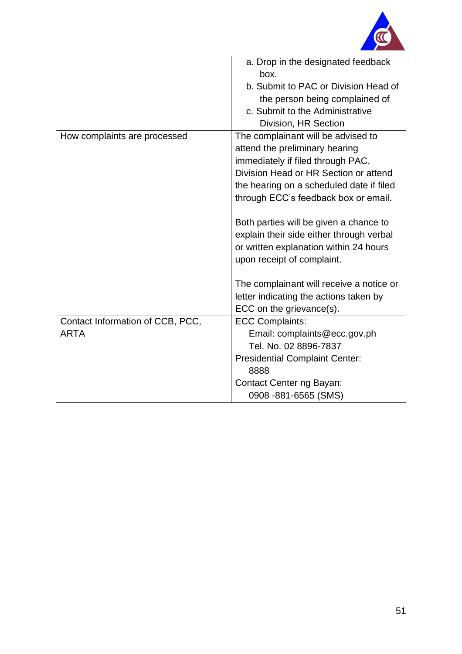![](_page_50_Picture_0.jpeg)

|                                  | a. Drop in the designated feedback<br>box. |
|----------------------------------|--------------------------------------------|
|                                  | b. Submit to PAC or Division Head of       |
|                                  | the person being complained of             |
|                                  | c. Submit to the Administrative            |
|                                  | Division, HR Section                       |
| How complaints are processed     | The complainant will be advised to         |
|                                  | attend the preliminary hearing             |
|                                  | immediately if filed through PAC,          |
|                                  | Division Head or HR Section or attend      |
|                                  | the hearing on a scheduled date if filed   |
|                                  | through ECC's feedback box or email.       |
|                                  |                                            |
|                                  | Both parties will be given a chance to     |
|                                  | explain their side either through verbal   |
|                                  | or written explanation within 24 hours     |
|                                  | upon receipt of complaint.                 |
|                                  |                                            |
|                                  | The complainant will receive a notice or   |
|                                  | letter indicating the actions taken by     |
|                                  | ECC on the grievance(s).                   |
| Contact Information of CCB, PCC, | <b>ECC Complaints:</b>                     |
| <b>ARTA</b>                      | Email: complaints@ecc.gov.ph               |
|                                  | Tel. No. 02 8896-7837                      |
|                                  | <b>Presidential Complaint Center:</b>      |
|                                  | 8888                                       |
|                                  | Contact Center ng Bayan:                   |
|                                  | 0908 - 881 - 6565 (SMS)                    |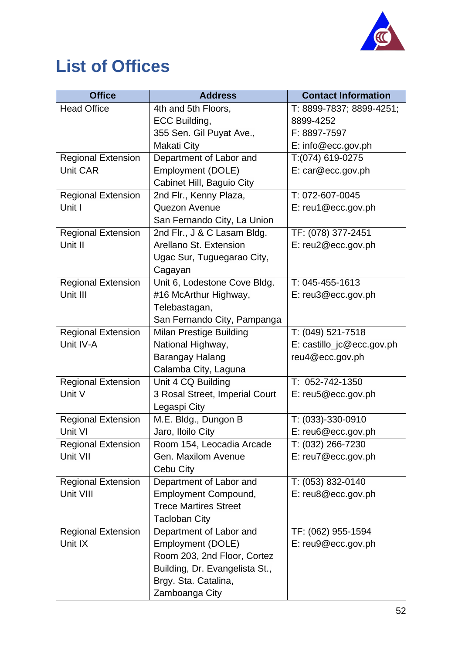![](_page_51_Picture_0.jpeg)

# <span id="page-51-0"></span>**List of Offices**

| <b>Office</b>             | <b>Address</b>                 | <b>Contact Information</b>  |
|---------------------------|--------------------------------|-----------------------------|
| <b>Head Office</b>        | 4th and 5th Floors,            | T: 8899-7837; 8899-4251;    |
|                           | ECC Building,                  | 8899-4252                   |
|                           | 355 Sen. Gil Puyat Ave.,       | F: 8897-7597                |
|                           | <b>Makati City</b>             | E: info@ecc.gov.ph          |
| <b>Regional Extension</b> | Department of Labor and        | T:(074) 619-0275            |
| <b>Unit CAR</b>           | Employment (DOLE)              | E: car@ecc.gov.ph           |
|                           | Cabinet Hill, Baguio City      |                             |
| <b>Regional Extension</b> | 2nd Flr., Kenny Plaza,         | T: 072-607-0045             |
| Unit I                    | Quezon Avenue                  | $E: \text{reu1@ecc.gov.ph}$ |
|                           | San Fernando City, La Union    |                             |
| <b>Regional Extension</b> | 2nd Flr., J & C Lasam Bldg.    | TF: (078) 377-2451          |
| Unit II                   | Arellano St. Extension         | E: reu2@ecc.gov.ph          |
|                           | Ugac Sur, Tuguegarao City,     |                             |
|                           | Cagayan                        |                             |
| <b>Regional Extension</b> | Unit 6, Lodestone Cove Bldg.   | T: 045-455-1613             |
| Unit III                  | #16 McArthur Highway,          | E: reu3@ecc.gov.ph          |
|                           | Telebastagan,                  |                             |
|                           | San Fernando City, Pampanga    |                             |
| <b>Regional Extension</b> | Milan Prestige Building        | T: (049) 521-7518           |
| Unit IV-A                 | National Highway,              | E: castillo_jc@ecc.gov.ph   |
|                           | Barangay Halang                | reu4@ecc.gov.ph             |
|                           | Calamba City, Laguna           |                             |
| <b>Regional Extension</b> | Unit 4 CQ Building             | T: 052-742-1350             |
| Unit V                    | 3 Rosal Street, Imperial Court | E: reu5@ecc.gov.ph          |
|                           | Legaspi City                   |                             |
| <b>Regional Extension</b> | M.E. Bldg., Dungon B           | T: (033)-330-0910           |
| Unit VI                   | Jaro, Iloilo City              | E: reu6@ecc.gov.ph          |
| <b>Regional Extension</b> | Room 154, Leocadia Arcade      | T: (032) 266-7230           |
| Unit VII                  | Gen. Maxilom Avenue            | E: reu7@ecc.gov.ph          |
|                           | Cebu City                      |                             |
| <b>Regional Extension</b> | Department of Labor and        | T: (053) 832-0140           |
| Unit VIII                 | <b>Employment Compound,</b>    | E: reu8@ecc.gov.ph          |
|                           | <b>Trece Martires Street</b>   |                             |
|                           | <b>Tacloban City</b>           |                             |
| <b>Regional Extension</b> | Department of Labor and        | TF: (062) 955-1594          |
| Unit IX                   | Employment (DOLE)              | E: rev@ecc.gov.ph           |
|                           | Room 203, 2nd Floor, Cortez    |                             |
|                           | Building, Dr. Evangelista St., |                             |
|                           | Brgy. Sta. Catalina,           |                             |
|                           | Zamboanga City                 |                             |